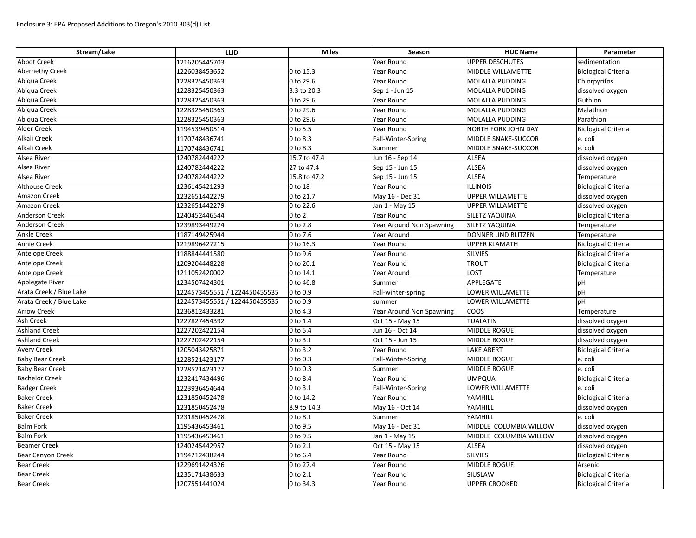| Stream/Lake             | <b>LLID</b>                   | <b>Miles</b>           | Season                   | <b>HUC Name</b>        | Parameter                  |
|-------------------------|-------------------------------|------------------------|--------------------------|------------------------|----------------------------|
| <b>Abbot Creek</b>      | 1216205445703                 |                        | Year Round               | <b>UPPER DESCHUTES</b> | sedimentation              |
| <b>Abernethy Creek</b>  | 1226038453652                 | $ 0 \text{ to } 15.3 $ | Year Round               | MIDDLE WILLAMETTE      | <b>Biological Criteria</b> |
| Abiqua Creek            | 1228325450363                 | 0 to 29.6              | Year Round               | MOLALLA PUDDING        | Chlorpyrifos               |
| Abiqua Creek            | 1228325450363                 | 3.3 to 20.3            | Sep 1 - Jun 15           | MOLALLA PUDDING        | dissolved oxygen           |
| Abiqua Creek            | 1228325450363                 | 0 to 29.6              | Year Round               | MOLALLA PUDDING        | Guthion                    |
| Abiqua Creek            | 1228325450363                 | 0 to 29.6              | Year Round               | MOLALLA PUDDING        | Malathion                  |
| Abiqua Creek            | 1228325450363                 | 0 to 29.6              | Year Round               | MOLALLA PUDDING        | Parathion                  |
| Alder Creek             | 1194539450514                 | $ 0 \text{ to } 5.5$   | Year Round               | NORTH FORK JOHN DAY    | <b>Biological Criteria</b> |
| Alkali Creek            | 1170748436741                 | 0 to 8.3               | Fall-Winter-Spring       | MIDDLE SNAKE-SUCCOR    | e. coli                    |
| Alkali Creek            | 1170748436741                 | $ 0 \text{ to } 8.3$   | Summer                   | MIDDLE SNAKE-SUCCOR    | e. coli                    |
| Alsea River             | 1240782444222                 | 15.7 to 47.4           | Jun 16 - Sep 14          | <b>ALSEA</b>           | dissolved oxygen           |
| Alsea River             | 1240782444222                 | 27 to 47.4             | Sep 15 - Jun 15          | ALSEA                  | dissolved oxygen           |
| Alsea River             | 1240782444222                 | 15.8 to 47.2           | Sep 15 - Jun 15          | <b>ALSEA</b>           | Temperature                |
| <b>Althouse Creek</b>   | 1236145421293                 | $ 0 \text{ to } 18$    | Year Round               | <b>ILLINOIS</b>        | <b>Biological Criteria</b> |
| Amazon Creek            | 1232651442279                 | $ 0 \text{ to } 21.7$  | May 16 - Dec 31          | UPPER WILLAMETTE       | dissolved oxygen           |
| <b>Amazon Creek</b>     | 1232651442279                 | 0 to 22.6              | Jan 1 - May 15           | UPPER WILLAMETTE       | dissolved oxygen           |
| <b>Anderson Creek</b>   | 1240452446544                 | $0$ to 2               | Year Round               | <b>SILETZ YAQUINA</b>  | Biological Criteria        |
| <b>Anderson Creek</b>   | 1239893449224                 | 0 to 2.8               | Year Around Non Spawning | <b>SILETZ YAQUINA</b>  | Temperature                |
| <b>Ankle Creek</b>      | 1187149425944                 | $ 0 \text{ to } 7.6$   | Year Around              | DONNER UND BLITZEN     | Temperature                |
| <b>Annie Creek</b>      | 1219896427215                 | $ 0 \text{ to } 16.3$  | Year Round               | <b>UPPER KLAMATH</b>   | <b>Biological Criteria</b> |
| Antelope Creek          | 1188844441580                 | 0 to 9.6               | Year Round               | SILVIES                | <b>Biological Criteria</b> |
| Antelope Creek          | 1209204448228                 | $ 0 \text{ to } 20.1$  | Year Round               | <b>TROUT</b>           | <b>Biological Criteria</b> |
| Antelope Creek          | 1211052420002                 | $ 0 \text{ to } 14.1$  | Year Around              | LOST                   | Temperature                |
| Applegate River         | 1234507424301                 | $ 0 \text{ to } 46.8$  | Summer                   | APPLEGATE              | pH                         |
| Arata Creek / Blue Lake | 1224573455551 / 1224450455535 | $ 0 \text{ to } 0.9$   | Fall-winter-spring       | LOWER WILLAMETTE       | pH                         |
| Arata Creek / Blue Lake | 1224573455551 / 1224450455535 | $ 0 \text{ to } 0.9$   | summer                   | LOWER WILLAMETTE       | pH                         |
| <b>Arrow Creek</b>      | 1236812433281                 | $ 0 \text{ to } 4.3$   | Year Around Non Spawning | <b>COOS</b>            | Temperature                |
| Ash Creek               | 1227827454392                 | $ 0 \text{ to } 1.4$   | Oct 15 - May 15          | TUALATIN               | dissolved oxygen           |
| <b>Ashland Creek</b>    | 1227202422154                 | $ 0 \text{ to } 5.4$   | Jun 16 - Oct 14          | MIDDLE ROGUE           | dissolved oxygen           |
| <b>Ashland Creek</b>    | 1227202422154                 | $ 0 \text{ to } 3.1$   | Oct 15 - Jun 15          | MIDDLE ROGUE           | dissolved oxygen           |
| <b>Avery Creek</b>      | 1205043425871                 | $ 0 \text{ to } 3.2 $  | Year Round               | LAKE ABERT             | <b>Biological Criteria</b> |
| <b>Baby Bear Creek</b>  | 1228521423177                 | $ 0 \text{ to } 0.3$   | Fall-Winter-Spring       | MIDDLE ROGUE           | e. coli                    |
| <b>Baby Bear Creek</b>  | 1228521423177                 | 0 to 0.3               | Summer                   | MIDDLE ROGUE           | e. coli                    |
| <b>Bachelor Creek</b>   | 1232417434496                 | $ 0 \text{ to } 8.4$   | Year Round               | <b>UMPQUA</b>          | <b>Biological Criteria</b> |
| <b>Badger Creek</b>     | 1223936454644                 | $ 0 \text{ to } 3.1 $  | Fall-Winter-Spring       | LOWER WILLAMETTE       | e. coli                    |
| <b>Baker Creek</b>      | 1231850452478                 | $ 0 \text{ to } 14.2$  | Year Round               | YAMHILL                | <b>Biological Criteria</b> |
| <b>Baker Creek</b>      | 1231850452478                 | 8.9 to 14.3            | May 16 - Oct 14          | YAMHILL                | dissolved oxygen           |
| <b>Baker Creek</b>      | 1231850452478                 | $ 0 \text{ to } 8.1$   | Summer                   | YAMHILL                | e. coli                    |
| <b>Balm Fork</b>        | 1195436453461                 | $ 0 \text{ to } 9.5$   | May 16 - Dec 31          | MIDDLE COLUMBIA WILLOW | dissolved oxygen           |
| <b>Balm Fork</b>        | 1195436453461                 | 0 to 9.5               | Jan 1 - May 15           | MIDDLE COLUMBIA WILLOW | dissolved oxygen           |
| <b>Beamer Creek</b>     | 1240245442957                 | $ 0 \text{ to } 2.1$   | Oct 15 - May 15          | <b>ALSEA</b>           | dissolved oxygen           |
| Bear Canyon Creek       | 1194212438244                 | $ 0 \text{ to } 6.4 $  | Year Round               | SILVIES                | <b>Biological Criteria</b> |
| <b>Bear Creek</b>       | 1229691424326                 | $ 0 \text{ to } 27.4$  | Year Round               | MIDDLE ROGUE           | Arsenic                    |
| <b>Bear Creek</b>       | 1235171438633                 | $ 0 \text{ to } 2.1$   | Year Round               | SIUSLAW                | <b>Biological Criteria</b> |
| <b>Bear Creek</b>       | 1207551441024                 | $ 0 \text{ to } 34.3$  | Year Round               | UPPER CROOKED          | <b>Biological Criteria</b> |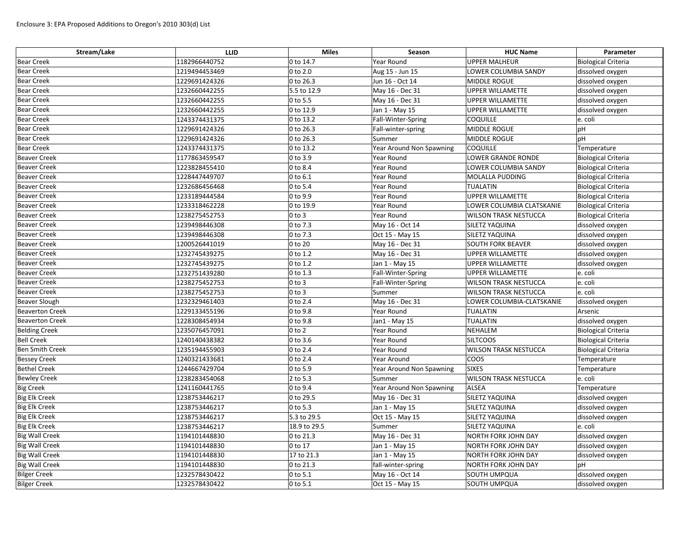| Stream/Lake            | <b>LLID</b>   | <b>Miles</b> | Season                   | <b>HUC Name</b>              | Parameter                  |
|------------------------|---------------|--------------|--------------------------|------------------------------|----------------------------|
| <b>Bear Creek</b>      | 1182966440752 | 0 to 14.7    | Year Round               | <b>UPPER MALHEUR</b>         | <b>Biological Criteria</b> |
| <b>Bear Creek</b>      | 1219494453469 | 0 to 2.0     | Aug 15 - Jun 15          | LOWER COLUMBIA SANDY         | dissolved oxygen           |
| <b>Bear Creek</b>      | 1229691424326 | 0 to 26.3    | Jun 16 - Oct 14          | MIDDLE ROGUE                 | dissolved oxygen           |
| <b>Bear Creek</b>      | 1232660442255 | 5.5 to 12.9  | May 16 - Dec 31          | <b>UPPER WILLAMETTE</b>      | dissolved oxygen           |
| <b>Bear Creek</b>      | 1232660442255 | 0 to 5.5     | May 16 - Dec 31          | <b>UPPER WILLAMETTE</b>      | dissolved oxygen           |
| <b>Bear Creek</b>      | 1232660442255 | 0 to 12.9    | Jan 1 - May 15           | UPPER WILLAMETTE             | dissolved oxygen           |
| <b>Bear Creek</b>      | 1243374431375 | 0 to 13.2    | Fall-Winter-Spring       | <b>COQUILLE</b>              | e. coli                    |
| <b>Bear Creek</b>      | 1229691424326 | 0 to 26.3    | Fall-winter-spring       | MIDDLE ROGUE                 | pH                         |
| <b>Bear Creek</b>      | 1229691424326 | 0 to 26.3    | Summer                   | MIDDLE ROGUE                 | pH                         |
| <b>Bear Creek</b>      | 1243374431375 | 0 to 13.2    | Year Around Non Spawning | <b>COQUILLE</b>              | Temperature                |
| <b>Beaver Creek</b>    | 1177863459547 | 0 to 3.9     | Year Round               | <b>LOWER GRANDE RONDE</b>    | <b>Biological Criteria</b> |
| <b>Beaver Creek</b>    | 1223828455410 | 0 to 8.4     | Year Round               | LOWER COLUMBIA SANDY         | <b>Biological Criteria</b> |
| <b>Beaver Creek</b>    | 1228447449707 | 0 to 6.1     | Year Round               | MOLALLA PUDDING              | <b>Biological Criteria</b> |
| <b>Beaver Creek</b>    | 1232686456468 | 0 to 5.4     | Year Round               | <b>TUALATIN</b>              | <b>Biological Criteria</b> |
| <b>Beaver Creek</b>    | 1233189444584 | 0 to 9.9     | Year Round               | <b>UPPER WILLAMETTE</b>      | Biological Criteria        |
| <b>Beaver Creek</b>    | 1233318462228 | 0 to 19.9    | Year Round               | LOWER COLUMBIA CLATSKANIE    | <b>Biological Criteria</b> |
| <b>Beaver Creek</b>    | 1238275452753 | $0$ to 3     | Year Round               | <b>WILSON TRASK NESTUCCA</b> | <b>Biological Criteria</b> |
| <b>Beaver Creek</b>    | 1239498446308 | 0 to 7.3     | May 16 - Oct 14          | SILETZ YAQUINA               | dissolved oxygen           |
| <b>Beaver Creek</b>    | 1239498446308 | 0 to 7.3     | Oct 15 - May 15          | SILETZ YAQUINA               | dissolved oxygen           |
| <b>Beaver Creek</b>    | 1200526441019 | 0 to 20      | May 16 - Dec 31          | <b>SOUTH FORK BEAVER</b>     | dissolved oxygen           |
| <b>Beaver Creek</b>    | 1232745439275 | 0 to 1.2     | May 16 - Dec 31          | <b>UPPER WILLAMETTE</b>      | dissolved oxygen           |
| <b>Beaver Creek</b>    | 1232745439275 | 0 to 1.2     | Jan 1 - May 15           | <b>UPPER WILLAMETTE</b>      | dissolved oxygen           |
| <b>Beaver Creek</b>    | 1232751439280 | 0 to 1.3     | Fall-Winter-Spring       | <b>UPPER WILLAMETTE</b>      | e. coli                    |
| <b>Beaver Creek</b>    | 1238275452753 | $0$ to $3$   | Fall-Winter-Spring       | <b>WILSON TRASK NESTUCCA</b> | e. coli                    |
| <b>Beaver Creek</b>    | 1238275452753 | $0$ to $3$   | Summer                   | <b>WILSON TRASK NESTUCCA</b> | e. coli                    |
| <b>Beaver Slough</b>   | 1232329461403 | 0 to 2.4     | May 16 - Dec 31          | LOWER COLUMBIA-CLATSKANIE    | dissolved oxygen           |
| <b>Beaverton Creek</b> | 1229133455196 | 0 to 9.8     | Year Round               | <b>TUALATIN</b>              | Arsenic                    |
| <b>Beaverton Creek</b> | 1228308454934 | 0 to 9.8     | Jan1 - May 15            | <b>TUALATIN</b>              | dissolved oxygen           |
| <b>Belding Creek</b>   | 1235076457091 | $0$ to $2$   | Year Round               | <b>NEHALEM</b>               | <b>Biological Criteria</b> |
| <b>Bell Creek</b>      | 1240140438382 | 0 to 3.6     | Year Round               | <b>SILTCOOS</b>              | <b>Biological Criteria</b> |
| <b>Ben Smith Creek</b> | 1235194455903 | 0 to 2.4     | Year Round               | <b>WILSON TRASK NESTUCCA</b> | <b>Biological Criteria</b> |
| <b>Bessey Creek</b>    | 1240321433681 | 0 to 2.4     | Year Around              | <b>COOS</b>                  | Temperature                |
| <b>Bethel Creek</b>    | 1244667429704 | 0 to 5.9     | Year Around Non Spawning | <b>SIXES</b>                 | Temperature                |
| <b>Bewley Creek</b>    | 1238283454068 | 2 to 5.3     | Summer                   | <b>WILSON TRASK NESTUCCA</b> | e. coli                    |
| <b>Big Creek</b>       | 1241160441765 | 0 to 9.4     | Year Around Non Spawning | ALSEA                        | Temperature                |
| <b>Big Elk Creek</b>   | 1238753446217 | 0 to 29.5    | May 16 - Dec 31          | SILETZ YAQUINA               | dissolved oxygen           |
| <b>Big Elk Creek</b>   | 1238753446217 | 0 to 5.3     | Jan 1 - May 15           | SILETZ YAQUINA               | dissolved oxygen           |
| <b>Big Elk Creek</b>   | 1238753446217 | 5.3 to 29.5  | Oct 15 - May 15          | SILETZ YAQUINA               | dissolved oxygen           |
| Big Elk Creek          | 1238753446217 | 18.9 to 29.5 | Summer                   | SILETZ YAQUINA               | e. coli                    |
| <b>Big Wall Creek</b>  | 1194101448830 | 0 to 21.3    | May 16 - Dec 31          | NORTH FORK JOHN DAY          | dissolved oxygen           |
| <b>Big Wall Creek</b>  | 1194101448830 | 0 to 17      | Jan 1 - May 15           | NORTH FORK JOHN DAY          | dissolved oxygen           |
| <b>Big Wall Creek</b>  | 1194101448830 | 17 to 21.3   | Jan 1 - May 15           | NORTH FORK JOHN DAY          | dissolved oxygen           |
| <b>Big Wall Creek</b>  | 1194101448830 | 0 to 21.3    | fall-winter-spring       | NORTH FORK JOHN DAY          | pH                         |
| <b>Bilger Creek</b>    | 1232578430422 | 0 to 5.1     | May 16 - Oct 14          | SOUTH UMPQUA                 | dissolved oxygen           |
| <b>Bilger Creek</b>    | 1232578430422 | 0 to 5.1     | Oct 15 - May 15          | SOUTH UMPQUA                 | dissolved oxygen           |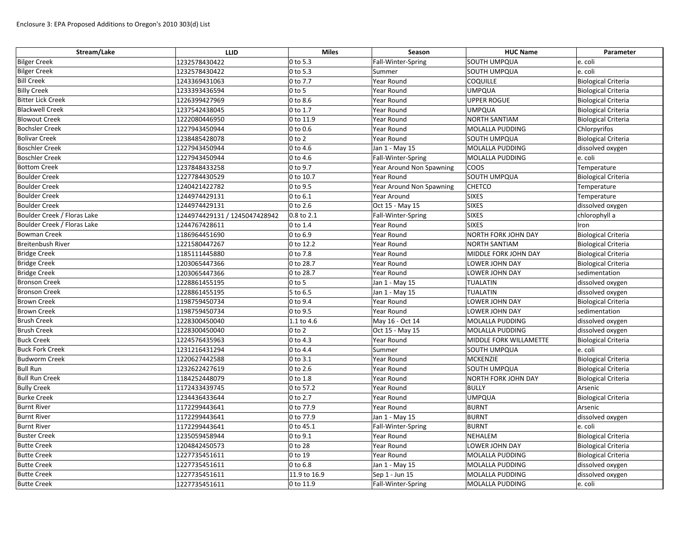| Stream/Lake                 | <b>LLID</b>                   | <b>Miles</b>           | Season                   | <b>HUC Name</b>            | Parameter                  |
|-----------------------------|-------------------------------|------------------------|--------------------------|----------------------------|----------------------------|
| <b>Bilger Creek</b>         | 1232578430422                 | $ 0 \text{ to } 5.3$   | Fall-Winter-Spring       | SOUTH UMPQUA               | e. coli                    |
| <b>Bilger Creek</b>         | 1232578430422                 | $ 0 \text{ to } 5.3$   | Summer                   | SOUTH UMPQUA               | e. coli                    |
| <b>Bill Creek</b>           | 1243369431063                 | $ 0 \text{ to } 7.7$   | Year Round               | <b>COQUILLE</b>            | <b>Biological Criteria</b> |
| <b>Billy Creek</b>          | 1233393436594                 | $0$ to 5               | Year Round               | <b>UMPQUA</b>              | <b>Biological Criteria</b> |
| <b>Bitter Lick Creek</b>    | 1226399427969                 | $ 0 \text{ to } 8.6$   | Year Round               | <b>UPPER ROGUE</b>         | <b>Biological Criteria</b> |
| <b>Blackwell Creek</b>      | 1237542438045                 | $0$ to 1.7             | Year Round               | <b>UMPQUA</b>              | <b>Biological Criteria</b> |
| <b>Blowout Creek</b>        | 1222080446950                 | $ 0 \text{ to } 11.9$  | Year Round               | <b>NORTH SANTIAM</b>       | Biological Criteria        |
| <b>Bochsler Creek</b>       | 1227943450944                 | $ 0 \text{ to } 0.6$   | Year Round               | MOLALLA PUDDING            | Chlorpyrifos               |
| <b>Bolivar Creek</b>        | 1238485428078                 | $0$ to 2               | Year Round               | <b>SOUTH UMPQUA</b>        | <b>Biological Criteria</b> |
| <b>Boschler Creek</b>       | 1227943450944                 | $ 0 \text{ to } 4.6$   | Jan 1 - May 15           | MOLALLA PUDDING            | dissolved oxygen           |
| <b>Boschler Creek</b>       | 1227943450944                 | $ 0 \text{ to } 4.6$   | Fall-Winter-Spring       | MOLALLA PUDDING            | e. coli                    |
| <b>Bottom Creek</b>         | 1237848433258                 | $ 0 \text{ to } 9.7$   | Year Around Non Spawning | coos                       | Temperature                |
| <b>Boulder Creek</b>        | 1227784430529                 | $ 0 \text{ to } 10.7$  | Year Round               | SOUTH UMPQUA               | <b>Biological Criteria</b> |
| <b>Boulder Creek</b>        | 1240421422782                 | $ 0 \text{ to } 9.5$   | Year Around Non Spawning | <b>CHETCO</b>              | Temperature                |
| <b>Boulder Creek</b>        | 1244974429131                 | $ 0 \text{ to } 6.1$   | Year Around              | <b>SIXES</b>               | Temperature                |
| <b>Boulder Creek</b>        | 1244974429131                 | $ 0 \text{ to } 2.6$   | Oct 15 - May 15          | <b>SIXES</b>               | dissolved oxygen           |
| Boulder Creek / Floras Lake | 1244974429131 / 1245047428942 | $ 0.8 \text{ to } 2.1$ | Fall-Winter-Spring       | <b>SIXES</b>               | chlorophyll a              |
| Boulder Creek / Floras Lake | 1244767428611                 | $0$ to 1.4             | Year Round               | <b>SIXES</b>               | Iron                       |
| <b>Bowman Creek</b>         | 1186964451690                 | $ 0 \text{ to } 6.9$   | Year Round               | NORTH FORK JOHN DAY        | <b>Biological Criteria</b> |
| <b>Breitenbush River</b>    | 1221580447267                 | $ 0 \text{ to } 12.2$  | Year Round               | <b>NORTH SANTIAM</b>       | Biological Criteria        |
| <b>Bridge Creek</b>         | 1185111445880                 | 0 to 7.8               | Year Round               | MIDDLE FORK JOHN DAY       | <b>Biological Criteria</b> |
| <b>Bridge Creek</b>         | 1203065447366                 | 0 to 28.7              | Year Round               | <b>LOWER JOHN DAY</b>      | <b>Biological Criteria</b> |
| <b>Bridge Creek</b>         | 1203065447366                 | 0 to 28.7              | Year Round               | LOWER JOHN DAY             | sedimentation              |
| <b>Bronson Creek</b>        | 1228861455195                 | $0$ to 5               | Jan 1 - May 15           | TUALATIN                   | dissolved oxygen           |
| <b>Bronson Creek</b>        | 1228861455195                 | 5 to 6.5               | Jan 1 - May 15           | TUALATIN                   | dissolved oxygen           |
| <b>Brown Creek</b>          | 1198759450734                 | $0$ to 9.4             | Year Round               | LOWER JOHN DAY             | <b>Biological Criteria</b> |
| <b>Brown Creek</b>          | 1198759450734                 | $ 0 \text{ to } 9.5$   | Year Round               | LOWER JOHN DAY             | sedimentation              |
| <b>Brush Creek</b>          | 1228300450040                 | $1.1$ to 4.6           | May 16 - Oct 14          | MOLALLA PUDDING            | dissolved oxygen           |
| <b>Brush Creek</b>          | 1228300450040                 | $ 0 \text{ to } 2$     | Oct 15 - May 15          | MOLALLA PUDDING            | dissolved oxygen           |
| <b>Buck Creek</b>           | 1224576435963                 | $ 0 \text{ to } 4.3 $  | Year Round               | MIDDLE FORK WILLAMETTE     | <b>Biological Criteria</b> |
| <b>Buck Fork Creek</b>      | 1231216431294                 | $ 0 \text{ to } 4.4 $  | Summer                   | SOUTH UMPQUA               | e. coli                    |
| <b>Budworm Creek</b>        | 1220627442588                 | $ 0 \text{ to } 3.1 $  | Year Round               | MCKENZIE                   | <b>Biological Criteria</b> |
| <b>Bull Run</b>             | 1232622427619                 | $0$ to 2.6             | Year Round               | SOUTH UMPQUA               | <b>Biological Criteria</b> |
| <b>Bull Run Creek</b>       | 1184252448079                 | $ 0 \text{ to } 1.8$   | Year Round               | <b>NORTH FORK JOHN DAY</b> | <b>Biological Criteria</b> |
| <b>Bully Creek</b>          | 1172433439745                 | 0 to 57.2              | Year Round               | <b>BULLY</b>               | Arsenic                    |
| <b>Burke Creek</b>          | 1234436433644                 | $ 0 \text{ to } 2.7 $  | Year Round               | UMPQUA                     | <b>Biological Criteria</b> |
| <b>Burnt River</b>          | 1172299443641                 | 0 to 77.9              | Year Round               | <b>BURNT</b>               | Arsenic                    |
| <b>Burnt River</b>          | 1172299443641                 | 0 to 77.9              | Jan 1 - May 15           | <b>BURNT</b>               | dissolved oxygen           |
| <b>Burnt River</b>          | 1172299443641                 | $ 0 \text{ to } 45.1$  | Fall-Winter-Spring       | BURNT                      | e. coli                    |
| <b>Buster Creek</b>         | 1235059458944                 | $0$ to 9.1             | Year Round               | NEHALEM                    | <b>Biological Criteria</b> |
| <b>Butte Creek</b>          | 1204842450573                 | 0 to 28                | Year Round               | LOWER JOHN DAY             | <b>Biological Criteria</b> |
| <b>Butte Creek</b>          | 1227735451611                 | $ 0 \text{ to } 19$    | Year Round               | MOLALLA PUDDING            | <b>Biological Criteria</b> |
| <b>Butte Creek</b>          | 1227735451611                 | $ 0 \text{ to } 6.8 $  | Jan 1 - May 15           | MOLALLA PUDDING            | dissolved oxygen           |
| <b>Butte Creek</b>          | 1227735451611                 | 11.9 to 16.9           | Sep 1 - Jun 15           | MOLALLA PUDDING            | dissolved oxygen           |
| <b>Butte Creek</b>          | 1227735451611                 | $ 0 \text{ to } 11.9$  | Fall-Winter-Spring       | MOLALLA PUDDING            | e. coli                    |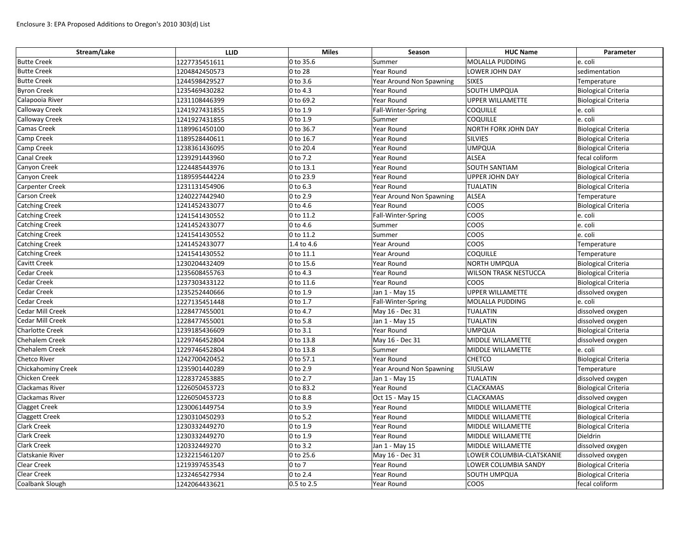| Stream/Lake               | <b>LLID</b>   | <b>Miles</b>       | Season                   | <b>HUC Name</b>              | Parameter                  |
|---------------------------|---------------|--------------------|--------------------------|------------------------------|----------------------------|
| <b>Butte Creek</b>        | 1227735451611 | 0 to 35.6          | Summer                   | MOLALLA PUDDING              | e. coli                    |
| <b>Butte Creek</b>        | 1204842450573 | 0 to 28            | Year Round               | <b>LOWER JOHN DAY</b>        | sedimentation              |
| <b>Butte Creek</b>        | 1244598429527 | 0 to 3.6           | Year Around Non Spawning | <b>SIXES</b>                 | Temperature                |
| <b>Byron Creek</b>        | 1235469430282 | 0 to 4.3           | Year Round               | <b>SOUTH UMPQUA</b>          | <b>Biological Criteria</b> |
| Calapooia River           | 1231108446399 | 0 to 69.2          | Year Round               | UPPER WILLAMETTE             | <b>Biological Criteria</b> |
| <b>Calloway Creek</b>     | 1241927431855 | 0 to 1.9           | Fall-Winter-Spring       | <b>COQUILLE</b>              | e. coli                    |
| <b>Calloway Creek</b>     | 1241927431855 | 0 to 1.9           | Summer                   | <b>COQUILLE</b>              | e. coli                    |
| <b>Camas Creek</b>        | 1189961450100 | 0 to 36.7          | <b>Year Round</b>        | NORTH FORK JOHN DAY          | Biological Criteria        |
| <b>Camp Creek</b>         | 1189528440611 | 0 to 16.7          | Year Round               | SILVIES                      | <b>Biological Criteria</b> |
| <b>Camp Creek</b>         | 1238361436095 | 0 to 20.4          | Year Round               | UMPQUA                       | <b>Biological Criteria</b> |
| <b>Canal Creek</b>        | 1239291443960 | 0 to 7.2           | Year Round               | ALSEA                        | fecal coliform             |
| <b>Canyon Creek</b>       | 1224485443976 | 0 to 13.1          | Year Round               | <b>SOUTH SANTIAM</b>         | <b>Biological Criteria</b> |
| Canyon Creek              | 1189595444224 | 0 to 23.9          | Year Round               | <b>UPPER JOHN DAY</b>        | <b>Biological Criteria</b> |
| <b>Carpenter Creek</b>    | 1231131454906 | 0 to 6.3           | Year Round               | <b>TUALATIN</b>              | <b>Biological Criteria</b> |
| <b>Carson Creek</b>       | 1240227442940 | 0 to 2.9           | Year Around Non Spawning | <b>ALSEA</b>                 | Temperature                |
| <b>Catching Creek</b>     | 1241452433077 | 0 to 4.6           | Year Round               | coos                         | <b>Biological Criteria</b> |
| <b>Catching Creek</b>     | 1241541430552 | 0 to 11.2          | Fall-Winter-Spring       | coos                         | e. coli                    |
| <b>Catching Creek</b>     | 1241452433077 | 0 to 4.6           | Summer                   | COOS                         | e. coli                    |
| <b>Catching Creek</b>     | 1241541430552 | 0 to 11.2          | Summer                   | COOS                         | e. coli                    |
| <b>Catching Creek</b>     | 1241452433077 | 1.4 to 4.6         | Year Around              | COOS                         | Temperature                |
| <b>Catching Creek</b>     | 1241541430552 | 0 to 11.1          | Year Around              | <b>COQUILLE</b>              | Temperature                |
| <b>Cavitt Creek</b>       | 1230204432409 | 0 to 15.6          | Year Round               | NORTH UMPQUA                 | <b>Biological Criteria</b> |
| <b>Cedar Creek</b>        | 1235608455763 | 0 to 4.3           | Year Round               | <b>WILSON TRASK NESTUCCA</b> | <b>Biological Criteria</b> |
| <b>Cedar Creek</b>        | 1237303433122 | 0 to 11.6          | Year Round               | coos                         | Biological Criteria        |
| <b>Cedar Creek</b>        | 1235252440666 | 0 to 1.9           | Jan 1 - May 15           | <b>UPPER WILLAMETTE</b>      | dissolved oxygen           |
| <b>Cedar Creek</b>        | 1227135451448 | 0 to 1.7           | Fall-Winter-Spring       | MOLALLA PUDDING              | e. coli                    |
| Cedar Mill Creek          | 1228477455001 | 0 to 4.7           | May 16 - Dec 31          | TUALATIN                     | dissolved oxygen           |
| Cedar Mill Creek          | 1228477455001 | 0 to 5.8           | Jan 1 - May 15           | TUALATIN                     | dissolved oxygen           |
| <b>Charlotte Creek</b>    | 1239185436609 | 0 to 3.1           | Year Round               | UMPQUA                       | <b>Biological Criteria</b> |
| <b>Chehalem Creek</b>     | 1229746452804 | 0 to 13.8          | May 16 - Dec 31          | MIDDLE WILLAMETTE            | dissolved oxygen           |
| <b>Chehalem Creek</b>     | 1229746452804 | 0 to 13.8          | Summer                   | MIDDLE WILLAMETTE            | e. coli                    |
| <b>Chetco River</b>       | 1242700420452 | 0 to 57.1          | Year Round               | <b>CHETCO</b>                | <b>Biological Criteria</b> |
| <b>Chickahominy Creek</b> | 1235901440289 | 0 to 2.9           | Year Around Non Spawning | SIUSLAW                      | Temperature                |
| <b>Chicken Creek</b>      | 1228372453885 | 0 to 2.7           | Jan 1 - May 15           | <b>TUALATIN</b>              | dissolved oxygen           |
| <b>Clackamas River</b>    | 1226050453723 | 0 to 83.2          | Year Round               | <b>CLACKAMAS</b>             | <b>Biological Criteria</b> |
| <b>Clackamas River</b>    | 1226050453723 | 0 to 8.8           | Oct 15 - May 15          | <b>CLACKAMAS</b>             | dissolved oxygen           |
| <b>Clagget Creek</b>      | 1230061449754 | 0 to 3.9           | Year Round               | MIDDLE WILLAMETTE            | <b>Biological Criteria</b> |
| <b>Claggett Creek</b>     | 1230310450293 | 0 to 5.2           | Year Round               | MIDDLE WILLAMETTE            | Biological Criteria        |
| <b>Clark Creek</b>        | 1230332449270 | 0 to 1.9           | Year Round               | MIDDLE WILLAMETTE            | <b>Biological Criteria</b> |
| <b>Clark Creek</b>        | 1230332449270 | 0 to 1.9           | Year Round               | MIDDLE WILLAMETTE            | Dieldrin                   |
| <b>Clark Creek</b>        | 120332449270  | 0 to 3.2           | Jan 1 - May 15           | MIDDLE WILLAMETTE            | dissolved oxygen           |
| Clatskanie River          | 1232215461207 | 0 to 25.6          | May 16 - Dec 31          | LOWER COLUMBIA-CLATSKANIE    | dissolved oxygen           |
| <b>Clear Creek</b>        | 1219397453543 | $ 0 \text{ to } 7$ | Year Round               | LOWER COLUMBIA SANDY         | <b>Biological Criteria</b> |
| <b>Clear Creek</b>        | 1232465427934 | $0$ to $2.4$       | Year Round               | <b>SOUTH UMPQUA</b>          | <b>Biological Criteria</b> |
| Coalbank Slough           | 1242064433621 | 0.5 to 2.5         | Year Round               | <b>COOS</b>                  | fecal coliform             |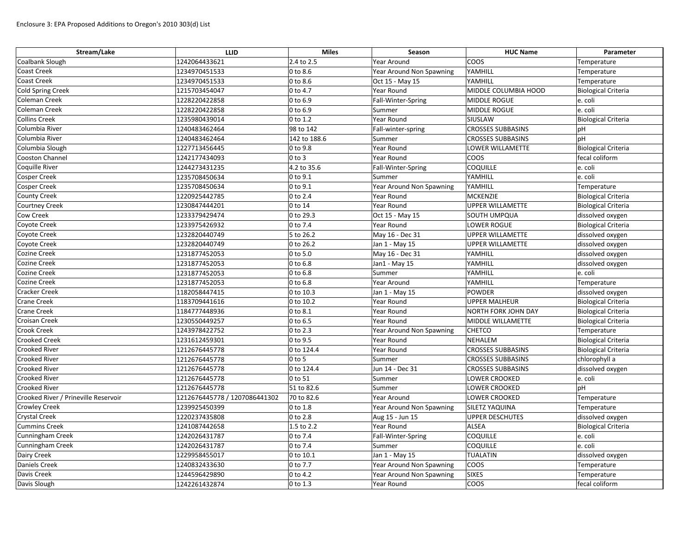| Stream/Lake                          | <b>LLID</b>                   | <b>Miles</b> | Season                   | <b>HUC Name</b>            | Parameter                  |
|--------------------------------------|-------------------------------|--------------|--------------------------|----------------------------|----------------------------|
| Coalbank Slough                      | 1242064433621                 | 2.4 to 2.5   | Year Around              | <b>COOS</b>                | Temperature                |
| <b>Coast Creek</b>                   | 1234970451533                 | 0 to 8.6     | Year Around Non Spawning | YAMHILL                    | Temperature                |
| <b>Coast Creek</b>                   | 1234970451533                 | 0 to 8.6     | Oct 15 - May 15          | YAMHILL                    | Temperature                |
| Cold Spring Creek                    | 1215703454047                 | 0 to 4.7     | Year Round               | MIDDLE COLUMBIA HOOD       | <b>Biological Criteria</b> |
| <b>Coleman Creek</b>                 | 1228220422858                 | 0 to 6.9     | Fall-Winter-Spring       | MIDDLE ROGUE               | e. coli                    |
| Coleman Creek                        | 1228220422858                 | 0 to 6.9     | Summer                   | MIDDLE ROGUE               | e. coli                    |
| <b>Collins Creek</b>                 | 1235980439014                 | 0 to 1.2     | Year Round               | SIUSLAW                    | <b>Biological Criteria</b> |
| Columbia River                       | 1240483462464                 | 98 to 142    | Fall-winter-spring       | <b>CROSSES SUBBASINS</b>   | pH                         |
| Columbia River                       | 1240483462464                 | 142 to 188.6 | Summer                   | <b>CROSSES SUBBASINS</b>   | pH                         |
| Columbia Slough                      | 1227713456445                 | 0 to 9.8     | Year Round               | LOWER WILLAMETTE           | <b>Biological Criteria</b> |
| Cooston Channel                      | 1242177434093                 | $0$ to $3$   | Year Round               | <b>COOS</b>                | fecal coliform             |
| <b>Coquille River</b>                | 1244273431235                 | 4.2 to 35.6  | Fall-Winter-Spring       | <b>COQUILLE</b>            | e. coli                    |
| <b>Cosper Creek</b>                  | 1235708450634                 | 0 to 9.1     | Summer                   | YAMHILL                    | e. coli                    |
| <b>Cosper Creek</b>                  | 1235708450634                 | 0 to 9.1     | Year Around Non Spawning | YAMHILL                    | Temperature                |
| <b>County Creek</b>                  | 1220925442785                 | 0 to 2.4     | Year Round               | <b>MCKENZIE</b>            | <b>Biological Criteria</b> |
| <b>Courtney Creek</b>                | 1230847444201                 | 0 to 14      | Year Round               | <b>UPPER WILLAMETTE</b>    | <b>Biological Criteria</b> |
| <b>Cow Creek</b>                     | 1233379429474                 | 0 to 29.3    | Oct 15 - May 15          | SOUTH UMPQUA               | dissolved oxygen           |
| Coyote Creek                         | 1233975426932                 | 0 to 7.4     | Year Round               | <b>LOWER ROGUE</b>         | <b>Biological Criteria</b> |
| Coyote Creek                         | 1232820440749                 | 5 to 26.2    | May 16 - Dec 31          | <b>UPPER WILLAMETTE</b>    | dissolved oxygen           |
| Coyote Creek                         | 1232820440749                 | 0 to 26.2    | Jan 1 - May 15           | <b>UPPER WILLAMETTE</b>    | dissolved oxygen           |
| <b>Cozine Creek</b>                  | 1231877452053                 | 0 to 5.0     | May 16 - Dec 31          | YAMHILL                    | dissolved oxygen           |
| Cozine Creek                         | 1231877452053                 | 0 to 6.8     | Jan1 - May 15            | YAMHILL                    | dissolved oxygen           |
| Cozine Creek                         | 1231877452053                 | 0 to 6.8     | Summer                   | YAMHILL                    | e. coli                    |
| <b>Cozine Creek</b>                  | 1231877452053                 | 0 to 6.8     | Year Around              | YAMHILL                    | Temperature                |
| <b>Cracker Creek</b>                 | 1182058447415                 | 0 to 10.3    | Jan 1 - May 15           | <b>POWDER</b>              | dissolved oxygen           |
| <b>Crane Creek</b>                   | 1183709441616                 | 0 to 10.2    | Year Round               | <b>UPPER MALHEUR</b>       | <b>Biological Criteria</b> |
| <b>Crane Creek</b>                   | 1184777448936                 | 0 to 8.1     | Year Round               | <b>NORTH FORK JOHN DAY</b> | <b>Biological Criteria</b> |
| <b>Croisan Creek</b>                 | 1230550449257                 | 0 to 6.5     | Year Round               | MIDDLE WILLAMETTE          | <b>Biological Criteria</b> |
| <b>Crook Creek</b>                   | 1243978422752                 | 0 to 2.3     | Year Around Non Spawning | <b>CHETCO</b>              | Temperature                |
| <b>Crooked Creek</b>                 | 1231612459301                 | 0 to 9.5     | Year Round               | NEHALEM                    | <b>Biological Criteria</b> |
| <b>Crooked River</b>                 | 1212676445778                 | 0 to 124.4   | Year Round               | <b>CROSSES SUBBASINS</b>   | <b>Biological Criteria</b> |
| <b>Crooked River</b>                 | 1212676445778                 | $0$ to 5     | Summer                   | <b>CROSSES SUBBASINS</b>   | chlorophyll a              |
| <b>Crooked River</b>                 | 1212676445778                 | 0 to 124.4   | Jun 14 - Dec 31          | <b>CROSSES SUBBASINS</b>   | dissolved oxygen           |
| <b>Crooked River</b>                 | 1212676445778                 | 0 to 51      | Summer                   | LOWER CROOKED              | e. coli                    |
| <b>Crooked River</b>                 | 1212676445778                 | 51 to 82.6   | Summer                   | LOWER CROOKED              | pH                         |
| Crooked River / Prineville Reservoir | 1212676445778 / 1207086441302 | 70 to 82.6   | Year Around              | LOWER CROOKED              | Temperature                |
| <b>Crowley Creek</b>                 | 1239925450399                 | 0 to 1.8     | Year Around Non Spawning | SILETZ YAQUINA             | Temperature                |
| <b>Crystal Creek</b>                 | 1220237435808                 | 0 to 2.8     | Aug 15 - Jun 15          | <b>UPPER DESCHUTES</b>     | dissolved oxygen           |
| <b>Cummins Creek</b>                 | 1241087442658                 | 1.5 to 2.2   | Year Round               | ALSEA                      | <b>Biological Criteria</b> |
| Cunningham Creek                     | 1242026431787                 | 0 to 7.4     | Fall-Winter-Spring       | <b>COQUILLE</b>            | e. coli                    |
| Cunningham Creek                     | 1242026431787                 | 0 to 7.4     | Summer                   | <b>COQUILLE</b>            | e. coli                    |
| Dairy Creek                          | 1229958455017                 | 0 to 10.1    | Jan 1 - May 15           | <b>TUALATIN</b>            | dissolved oxygen           |
| <b>Daniels Creek</b>                 | 1240832433630                 | 0 to 7.7     | Year Around Non Spawning | <b>COOS</b>                | Temperature                |
| Davis Creek                          | 1244596429890                 | 0 to 4.2     | Year Around Non Spawning | <b>SIXES</b>               | Temperature                |
| Davis Slough                         | 1242261432874                 | $0$ to 1.3   | Year Round               | <b>COOS</b>                | fecal coliform             |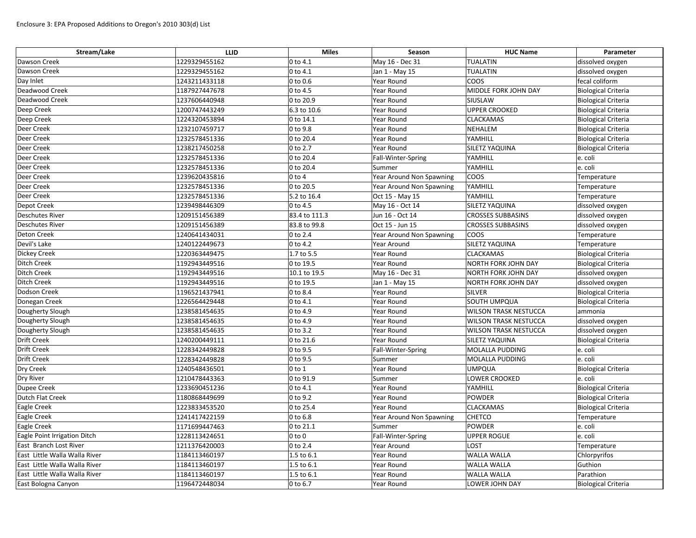| Stream/Lake                   | <b>LLID</b>   | <b>Miles</b>            | Season                   | <b>HUC Name</b>              | Parameter                  |
|-------------------------------|---------------|-------------------------|--------------------------|------------------------------|----------------------------|
| Dawson Creek                  | 1229329455162 | $ 0 \text{ to } 4.1$    | May 16 - Dec 31          | TUALATIN                     | dissolved oxygen           |
| Dawson Creek                  | 1229329455162 | $ 0 \text{ to } 4.1$    | Jan 1 - May 15           | TUALATIN                     | dissolved oxygen           |
| Day Inlet                     | 1243211433118 | $ 0 \text{ to } 0.6$    | Year Round               | coos                         | fecal coliform             |
| Deadwood Creek                | 1187927447678 | $0$ to 4.5              | Year Round               | MIDDLE FORK JOHN DAY         | <b>Biological Criteria</b> |
| Deadwood Creek                | 1237606440948 | 0 to 20.9               | Year Round               | SIUSLAW                      | <b>Biological Criteria</b> |
| Deep Creek                    | 1200747443249 | 6.3 to 10.6             | Year Round               | <b>UPPER CROOKED</b>         | <b>Biological Criteria</b> |
| Deep Creek                    | 1224320453894 | $ 0 \text{ to } 14.1$   | Year Round               | <b>CLACKAMAS</b>             | <b>Biological Criteria</b> |
| Deer Creek                    | 1232107459717 | $ 0 \text{ to } 9.8$    | Year Round               | NEHALEM                      | Biological Criteria        |
| Deer Creek                    | 1232578451336 | $ 0 \text{ to } 20.4 $  | Year Round               | YAMHILL                      | <b>Biological Criteria</b> |
| Deer Creek                    | 1238217450258 | $0$ to 2.7              | Year Round               | <b>SILETZ YAQUINA</b>        | <b>Biological Criteria</b> |
| Deer Creek                    | 1232578451336 | $ 0 \text{ to } 20.4 $  | Fall-Winter-Spring       | YAMHILL                      | e. coli                    |
| Deer Creek                    | 1232578451336 | 0 to 20.4               | Summer                   | YAMHILL                      | e. coli                    |
| Deer Creek                    | 1239620435816 | $ 0 \text{ to } 4$      | Year Around Non Spawning | coos                         | Temperature                |
| <b>Deer Creek</b>             | 1232578451336 | 0 to 20.5               | Year Around Non Spawning | YAMHILL                      | Temperature                |
| Deer Creek                    | 1232578451336 | 5.2 to 16.4             | Oct 15 - May 15          | YAMHILL                      | Temperature                |
| Depot Creek                   | 1239498446309 | $ 0 \text{ to } 4.5$    | May 16 - Oct 14          | <b>SILETZ YAQUINA</b>        | dissolved oxygen           |
| <b>Deschutes River</b>        | 1209151456389 | 83.4 to 111.3           | Jun 16 - Oct 14          | <b>CROSSES SUBBASINS</b>     | dissolved oxygen           |
| <b>Deschutes River</b>        | 1209151456389 | 83.8 to 99.8            | Oct 15 - Jun 15          | <b>CROSSES SUBBASINS</b>     | dissolved oxygen           |
| <b>Deton Creek</b>            | 1240641434031 | 0 to 2.4                | Year Around Non Spawning | coos                         | Temperature                |
| Devil's Lake                  | 1240122449673 | $0$ to 4.2              | Year Around              | <b>SILETZ YAQUINA</b>        | Temperature                |
| <b>Dickey Creek</b>           | 1220363449475 | $ 1.7 \text{ to } 5.5 $ | Year Round               | <b>CLACKAMAS</b>             | <b>Biological Criteria</b> |
| Ditch Creek                   | 1192943449516 | $ 0 \text{ to } 19.5$   | Year Round               | <b>NORTH FORK JOHN DAY</b>   | <b>Biological Criteria</b> |
| Ditch Creek                   | 1192943449516 | 10.1 to 19.5            | May 16 - Dec 31          | <b>NORTH FORK JOHN DAY</b>   | dissolved oxygen           |
| Ditch Creek                   | 1192943449516 | $ 0 \text{ to } 19.5$   | Jan 1 - May 15           | NORTH FORK JOHN DAY          | dissolved oxygen           |
| Dodson Creek                  | 1196521437941 | $ 0 \text{ to } 8.4$    | Year Round               | SILVER                       | <b>Biological Criteria</b> |
| Donegan Creek                 | 1226564429448 | $ 0 \text{ to } 4.1$    | Year Round               | <b>SOUTH UMPQUA</b>          | <b>Biological Criteria</b> |
| Dougherty Slough              | 1238581454635 | $ 0 \text{ to } 4.9$    | Year Round               | <b>WILSON TRASK NESTUCCA</b> | ammonia                    |
| Dougherty Slough              | 1238581454635 | $ 0 \text{ to } 4.9$    | Year Round               | <b>WILSON TRASK NESTUCCA</b> | dissolved oxygen           |
| Dougherty Slough              | 1238581454635 | $ 0 \text{ to } 3.2$    | Year Round               | <b>WILSON TRASK NESTUCCA</b> | dissolved oxygen           |
| <b>Drift Creek</b>            | 1240200449111 | $ 0 \text{ to } 21.6$   | Year Round               | <b>SILETZ YAQUINA</b>        | <b>Biological Criteria</b> |
| <b>Drift Creek</b>            | 1228342449828 | $ 0 \text{ to } 9.5$    | Fall-Winter-Spring       | <b>MOLALLA PUDDING</b>       | e. coli                    |
| <b>Drift Creek</b>            | 1228342449828 | $ 0 \text{ to } 9.5$    | Summer                   | MOLALLA PUDDING              | e. coli                    |
| Dry Creek                     | 1240548436501 | $ 0 \text{ to } 1$      | Year Round               | <b>UMPQUA</b>                | <b>Biological Criteria</b> |
| Dry River                     | 1210478443363 | $ 0 \text{ to } 91.9$   | Summer                   | LOWER CROOKED                | e. coli                    |
| Dupee Creek                   | 1233690451236 | $0$ to 4.1              | Year Round               | YAMHILL                      | <b>Biological Criteria</b> |
| Dutch Flat Creek              | 1180868449699 | $ 0 \text{ to } 9.2$    | Year Round               | POWDER                       | <b>Biological Criteria</b> |
| Eagle Creek                   | 1223833453520 | $ 0 \text{ to } 25.4 $  | Year Round               | <b>CLACKAMAS</b>             | <b>Biological Criteria</b> |
| <b>Eagle Creek</b>            | 1241417422159 | $ 0 \text{ to } 6.8$    | Year Around Non Spawning | <b>CHETCO</b>                | Temperature                |
| Eagle Creek                   | 1171699447463 | $ 0 \text{ to } 21.1 $  | Summer                   | POWDER                       | e. coli                    |
| Eagle Point Irrigation Ditch  | 1228113424651 | $ 0 \text{ to } 0$      | Fall-Winter-Spring       | <b>UPPER ROGUE</b>           | e. coli                    |
| East Branch Lost River        | 1211376420003 | $ 0 \text{ to } 2.4$    | Year Around              | LOST                         | Temperature                |
| East Little Walla Walla River | 1184113460197 | 1.5 to 6.1              | Year Round               | <b>WALLA WALLA</b>           | Chlorpyrifos               |
| East Little Walla Walla River | 1184113460197 | $1.5$ to 6.1            | Year Round               | <b>WALLA WALLA</b>           | Guthion                    |
| East Little Walla Walla River | 1184113460197 | 1.5 to 6.1              | Year Round               | <b>WALLA WALLA</b>           | Parathion                  |
| East Bologna Canyon           | 1196472448034 | $0$ to 6.7              | Year Round               | LOWER JOHN DAY               | <b>Biological Criteria</b> |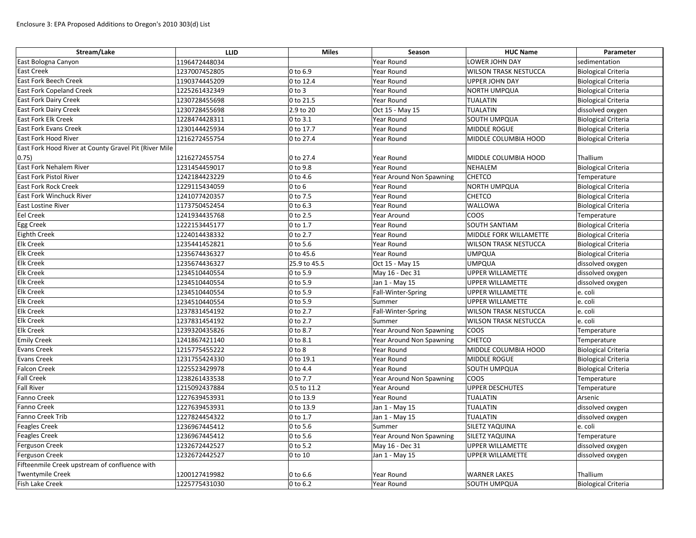| Stream/Lake                                           | <b>LLID</b>   | <b>Miles</b>         | Season                   | <b>HUC Name</b>              | Parameter                  |
|-------------------------------------------------------|---------------|----------------------|--------------------------|------------------------------|----------------------------|
| East Bologna Canyon                                   | 1196472448034 |                      | Year Round               | LOWER JOHN DAY               | sedimentation              |
| <b>East Creek</b>                                     | 1237007452805 | 0 to 6.9             | Year Round               | <b>WILSON TRASK NESTUCCA</b> | <b>Biological Criteria</b> |
| <b>East Fork Beech Creek</b>                          | 1190374445209 | 0 to 12.4            | Year Round               | <b>UPPER JOHN DAY</b>        | <b>Biological Criteria</b> |
| <b>East Fork Copeland Creek</b>                       | 1225261432349 | $0$ to $3$           | Year Round               | <b>NORTH UMPQUA</b>          | <b>Biological Criteria</b> |
| <b>East Fork Dairy Creek</b>                          | 1230728455698 | 0 to 21.5            | Year Round               | <b>TUALATIN</b>              | Biological Criteria        |
| <b>East Fork Dairy Creek</b>                          | 1230728455698 | 2.9 to 20            | Oct 15 - May 15          | <b>TUALATIN</b>              | dissolved oxygen           |
| <b>East Fork Elk Creek</b>                            | 1228474428311 | 0 to 3.1             | Year Round               | SOUTH UMPQUA                 | <b>Biological Criteria</b> |
| <b>East Fork Evans Creek</b>                          | 1230144425934 | 0 to 17.7            | Year Round               | MIDDLE ROGUE                 | Biological Criteria        |
| <b>East Fork Hood River</b>                           | 1216272455754 | 0 to 27.4            | Year Round               | MIDDLE COLUMBIA HOOD         | <b>Biological Criteria</b> |
| East Fork Hood River at County Gravel Pit (River Mile |               |                      |                          |                              |                            |
| (0.75)                                                | 1216272455754 | 0 to 27.4            | Year Round               | MIDDLE COLUMBIA HOOD         | Thallium                   |
| <b>East Fork Nehalem River</b>                        | 1231454459017 | 0 to 9.8             | Year Round               | <b>NEHALEM</b>               | <b>Biological Criteria</b> |
| <b>East Fork Pistol River</b>                         | 1242184423229 | $0$ to 4.6           | Year Around Non Spawning | <b>CHETCO</b>                | Temperature                |
| <b>East Fork Rock Creek</b>                           | 1229115434059 | $0$ to $6$           | Year Round               | <b>NORTH UMPQUA</b>          | <b>Biological Criteria</b> |
| <b>East Fork Winchuck River</b>                       | 1241077420357 | 0 to 7.5             | Year Round               | <b>CHETCO</b>                | <b>Biological Criteria</b> |
| <b>East Lostine River</b>                             | 1173750452454 | 0 to 6.3             | Year Round               | <b>WALLOWA</b>               | <b>Biological Criteria</b> |
| <b>Eel Creek</b>                                      | 1241934435768 | 0 to 2.5             | Year Around              | <b>COOS</b>                  | Temperature                |
| Egg Creek                                             | 1222153445177 | 0 to 1.7             | <b>Year Round</b>        | <b>SOUTH SANTIAM</b>         | <b>Biological Criteria</b> |
| <b>Eighth Creek</b>                                   | 1224014438332 | 0 to 2.7             | Year Round               | MIDDLE FORK WILLAMETTE       | <b>Biological Criteria</b> |
| <b>Elk Creek</b>                                      | 1235441452821 | $ 0 \text{ to } 5.6$ | Year Round               | <b>WILSON TRASK NESTUCCA</b> | Biological Criteria        |
| <b>Elk Creek</b>                                      | 1235674436327 | 0 to 45.6            | Year Round               | <b>UMPQUA</b>                | <b>Biological Criteria</b> |
| <b>Elk Creek</b>                                      | 1235674436327 | 25.9 to 45.5         | Oct 15 - May 15          | <b>UMPQUA</b>                | dissolved oxygen           |
| <b>Elk Creek</b>                                      | 1234510440554 | 0 to 5.9             | May 16 - Dec 31          | <b>UPPER WILLAMETTE</b>      | dissolved oxygen           |
| <b>Elk Creek</b>                                      | 1234510440554 | 0 to 5.9             | Jan 1 - May 15           | <b>UPPER WILLAMETTE</b>      | dissolved oxygen           |
| <b>Elk Creek</b>                                      | 1234510440554 | 0 to 5.9             | Fall-Winter-Spring       | <b>UPPER WILLAMETTE</b>      | e. coli                    |
| <b>Elk Creek</b>                                      | 1234510440554 | 0 to 5.9             | Summer                   | <b>UPPER WILLAMETTE</b>      | e. coli                    |
| <b>Elk Creek</b>                                      | 1237831454192 | 0 to 2.7             | Fall-Winter-Spring       | <b>WILSON TRASK NESTUCCA</b> | e. coli                    |
| <b>Elk Creek</b>                                      | 1237831454192 | 0 to 2.7             | Summer                   | <b>WILSON TRASK NESTUCCA</b> | e. coli                    |
| <b>Elk Creek</b>                                      | 1239320435826 | 0 to 8.7             | Year Around Non Spawning | <b>COOS</b>                  | Temperature                |
| <b>Emily Creek</b>                                    | 1241867421140 | 0 to 8.1             | Year Around Non Spawning | <b>CHETCO</b>                | Temperature                |
| Evans Creek                                           | 1215775455222 | $0$ to $8$           | Year Round               | MIDDLE COLUMBIA HOOD         | <b>Biological Criteria</b> |
| <b>Evans Creek</b>                                    | 1231755424330 | 0 to 19.1            | Year Round               | MIDDLE ROGUE                 | <b>Biological Criteria</b> |
| <b>Falcon Creek</b>                                   | 1225523429978 | 0 to 4.4             | Year Round               | SOUTH UMPQUA                 | <b>Biological Criteria</b> |
| <b>Fall Creek</b>                                     | 1238261433538 | 0 to 7.7             | Year Around Non Spawning | <b>COOS</b>                  | Temperature                |
| <b>Fall River</b>                                     | 1215092437884 | 0.5 to 11.2          | Year Around              | <b>UPPER DESCHUTES</b>       | Temperature                |
| Fanno Creek                                           | 1227639453931 | 0 to 13.9            | Year Round               | TUALATIN                     | Arsenic                    |
| <b>Fanno Creek</b>                                    | 1227639453931 | 0 to 13.9            | Jan 1 - May 15           | TUALATIN                     | dissolved oxygen           |
| Fanno Creek Trib                                      | 1227824454322 | 0 to 1.7             | Jan 1 - May 15           | TUALATIN                     | dissolved oxygen           |
| <b>Feagles Creek</b>                                  | 1236967445412 | 0 to 5.6             | Summer                   | SILETZ YAQUINA               | e. coli                    |
| <b>Feagles Creek</b>                                  | 1236967445412 | 0 to 5.6             | Year Around Non Spawning | SILETZ YAQUINA               | Temperature                |
| Ferguson Creek                                        | 1232672442527 | 0 to 5.2             | May 16 - Dec 31          | <b>UPPER WILLAMETTE</b>      | dissolved oxygen           |
| Ferguson Creek                                        | 1232672442527 | 0 to 10              | Jan 1 - May 15           | UPPER WILLAMETTE             | dissolved oxygen           |
| Fifteenmile Creek upstream of confluence with         |               |                      |                          |                              |                            |
| Twentymile Creek                                      | 1200127419982 | $0$ to 6.6           | Year Round               | <b>WARNER LAKES</b>          | Thallium                   |
| <b>Fish Lake Creek</b>                                | 1225775431030 | 0 to 6.2             | Year Round               | SOUTH UMPQUA                 | Biological Criteria        |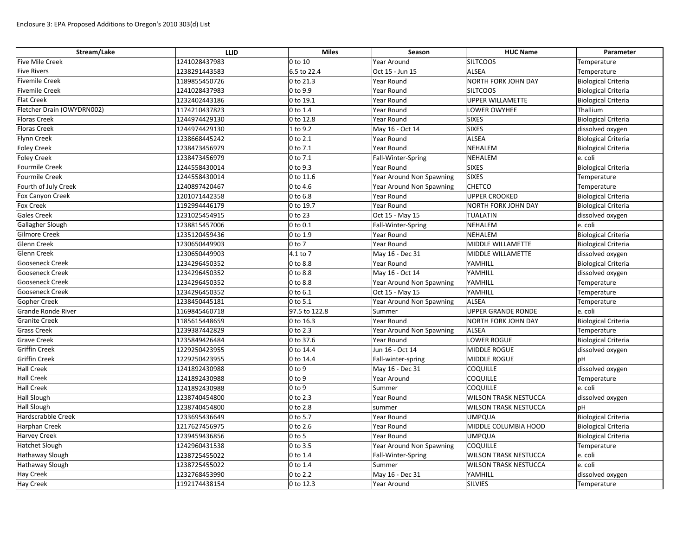| Stream/Lake                | <b>LLID</b>   | <b>Miles</b>           | Season                          | <b>HUC Name</b>              | Parameter                  |
|----------------------------|---------------|------------------------|---------------------------------|------------------------------|----------------------------|
| <b>Five Mile Creek</b>     | 1241028437983 | $0$ to 10              | <b>Year Around</b>              | <b>SILTCOOS</b>              | Temperature                |
| <b>Five Rivers</b>         | 1238291443583 | 6.5 to 22.4            | Oct 15 - Jun 15                 | <b>ALSEA</b>                 | Temperature                |
| <b>Fivemile Creek</b>      | 1189855450726 | $ 0 \text{ to } 21.3$  | Year Round                      | NORTH FORK JOHN DAY          | <b>Biological Criteria</b> |
| <b>Fivemile Creek</b>      | 1241028437983 | $ 0 \text{ to } 9.9$   | Year Round                      | <b>SILTCOOS</b>              | <b>Biological Criteria</b> |
| <b>Flat Creek</b>          | 1232402443186 | $ 0 \text{ to } 19.1$  | Year Round                      | <b>UPPER WILLAMETTE</b>      | <b>Biological Criteria</b> |
| Fletcher Drain (OWYDRN002) | 1174210437823 | $ 0 \text{ to } 1.4$   | Year Round                      | LOWER OWYHEE                 | Thallium                   |
| <b>Floras Creek</b>        | 1244974429130 | $ 0 \text{ to } 12.8$  | Year Round                      | <b>SIXES</b>                 | <b>Biological Criteria</b> |
| <b>Floras Creek</b>        | 1244974429130 | $1$ to 9.2             | May 16 - Oct 14                 | <b>SIXES</b>                 | dissolved oxygen           |
| <b>Flynn Creek</b>         | 1238668445242 | $ 0 \text{ to } 2.1$   | Year Round                      | <b>ALSEA</b>                 | <b>Biological Criteria</b> |
| <b>Foley Creek</b>         | 1238473456979 | $ 0 \text{ to } 7.1$   | Year Round                      | NEHALEM                      | <b>Biological Criteria</b> |
| <b>Foley Creek</b>         | 1238473456979 | $ 0 \text{ to } 7.1$   | Fall-Winter-Spring              | NEHALEM                      | e. coli                    |
| <b>Fourmile Creek</b>      | 1244558430014 | $ 0 \text{ to } 9.3$   | Year Round                      | <b>SIXES</b>                 | <b>Biological Criteria</b> |
| Fourmile Creek             | 1244558430014 | $ 0 \text{ to } 11.6$  | Year Around Non Spawning        | <b>SIXES</b>                 | Temperature                |
| Fourth of July Creek       | 1240897420467 | $0$ to 4.6             | Year Around Non Spawning        | <b>CHETCO</b>                | Temperature                |
| Fox Canyon Creek           | 1201071442358 | $0$ to 6.8             | Year Round                      | <b>UPPER CROOKED</b>         | <b>Biological Criteria</b> |
| <b>Fox Creek</b>           | 1192994446179 | $ 0 \text{ to } 19.7$  | Year Round                      | NORTH FORK JOHN DAY          | <b>Biological Criteria</b> |
| <b>Gales Creek</b>         | 1231025454915 | $ 0 \text{ to } 23$    | Oct 15 - May 15                 | TUALATIN                     | dissolved oxygen           |
| Gallagher Slough           | 1238815457006 | $ 0 \text{ to } 0.1$   | Fall-Winter-Spring              | NEHALEM                      | e. coli                    |
| <b>Gilmore Creek</b>       | 1235120459436 | $ 0 \text{ to } 1.9$   | Year Round                      | NEHALEM                      | <b>Biological Criteria</b> |
| <b>Glenn Creek</b>         | 1230650449903 | $ 0 \text{ to } 7$     | Year Round                      | MIDDLE WILLAMETTE            | <b>Biological Criteria</b> |
| <b>Glenn Creek</b>         | 1230650449903 | $4.1$ to 7             | May 16 - Dec 31                 | MIDDLE WILLAMETTE            | dissolved oxygen           |
| <b>Gooseneck Creek</b>     | 1234296450352 | 0 to 8.8               | Year Round                      | YAMHILL                      | <b>Biological Criteria</b> |
| <b>Gooseneck Creek</b>     | 1234296450352 | 0 to 8.8               | May 16 - Oct 14                 | YAMHILL                      | dissolved oxygen           |
| <b>Gooseneck Creek</b>     | 1234296450352 | 0 to 8.8               | Year Around Non Spawning        | YAMHILL                      | Temperature                |
| <b>Gooseneck Creek</b>     | 1234296450352 | $ 0 \text{ to } 6.1$   | Oct 15 - May 15                 | YAMHILL                      | Temperature                |
| <b>Gopher Creek</b>        | 1238450445181 | $0$ to 5.1             | Year Around Non Spawning        | ALSEA                        | Temperature                |
| <b>Grande Ronde River</b>  | 1169845460718 | 97.5 to 122.8          | Summer                          | <b>UPPER GRANDE RONDE</b>    | e. coli                    |
| <b>Granite Creek</b>       | 1185615448659 | $ 0 \text{ to } 16.3$  | Year Round                      | NORTH FORK JOHN DAY          | <b>Biological Criteria</b> |
| <b>Grass Creek</b>         | 1239387442829 | $ 0 \text{ to } 2.3$   | <b>Year Around Non Spawning</b> | <b>ALSEA</b>                 | Temperature                |
| <b>Grave Creek</b>         | 1235849426484 | $ 0 \text{ to } 37.6$  | Year Round                      | <b>LOWER ROGUE</b>           | Biological Criteria        |
| Griffin Creek              | 1229250423955 | $ 0 \text{ to } 14.4 $ | Jun 16 - Oct 14                 | MIDDLE ROGUE                 | dissolved oxygen           |
| <b>Griffin Creek</b>       | 1229250423955 | $ 0 \text{ to } 14.4 $ | Fall-winter-spring              | MIDDLE ROGUE                 | pH                         |
| <b>Hall Creek</b>          | 1241892430988 | $ 0 \text{ to } 9$     | May 16 - Dec 31                 | <b>COQUILLE</b>              | dissolved oxygen           |
| <b>Hall Creek</b>          | 1241892430988 | $ 0 \text{ to } 9$     | Year Around                     | <b>COQUILLE</b>              | Temperature                |
| <b>Hall Creek</b>          | 1241892430988 | $ 0 \text{ to } 9$     | Summer                          | <b>COQUILLE</b>              | e. coli                    |
| <b>Hall Slough</b>         | 1238740454800 | $ 0 \text{ to } 2.3$   | Year Round                      | <b>WILSON TRASK NESTUCCA</b> | dissolved oxygen           |
| <b>Hall Slough</b>         | 1238740454800 | $ 0 \text{ to } 2.8$   | summer                          | <b>WILSON TRASK NESTUCCA</b> | pH                         |
| Hardscrabble Creek         | 1233695436649 | $0$ to 5.7             | Year Round                      | UMPQUA                       | <b>Biological Criteria</b> |
| Harphan Creek              | 1217627456975 | $ 0 \text{ to } 2.6$   | Year Round                      | MIDDLE COLUMBIA HOOD         | <b>Biological Criteria</b> |
| <b>Harvey Creek</b>        | 1239459436856 | $0$ to 5               | Year Round                      | UMPQUA                       | <b>Biological Criteria</b> |
| Hatchet Slough             | 1242960431538 | $ 0 \text{ to } 3.5$   | Year Around Non Spawning        | <b>COQUILLE</b>              | Temperature                |
| <b>Hathaway Slough</b>     | 1238725455022 | $ 0 \text{ to } 1.4$   | Fall-Winter-Spring              | <b>WILSON TRASK NESTUCCA</b> | e. coli                    |
| <b>Hathaway Slough</b>     | 1238725455022 | $ 0 \text{ to } 1.4$   | Summer                          | <b>WILSON TRASK NESTUCCA</b> | e. coli                    |
| <b>Hay Creek</b>           | 1232768453990 | $ 0 \text{ to } 2.2 $  | May 16 - Dec 31                 | YAMHILL                      | dissolved oxygen           |
| <b>Hay Creek</b>           | 1192174438154 | $ 0 \text{ to } 12.3$  | Year Around                     | SILVIES                      | Temperature                |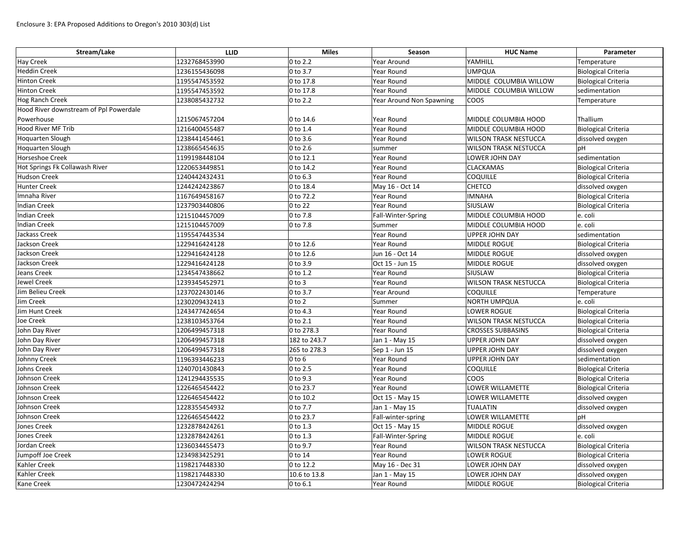| Stream/Lake                            | <b>LLID</b>   | <b>Miles</b>           | Season                   | <b>HUC Name</b>              | Parameter                  |
|----------------------------------------|---------------|------------------------|--------------------------|------------------------------|----------------------------|
| <b>Hay Creek</b>                       | 1232768453990 | 0 to 2.2               | Year Around              | YAMHILL                      | Temperature                |
| <b>Heddin Creek</b>                    | 1236155436098 | 0 to 3.7               | Year Round               | UMPQUA                       | <b>Biological Criteria</b> |
| <b>Hinton Creek</b>                    | 1195547453592 | 0 to 17.8              | Year Round               | MIDDLE COLUMBIA WILLOW       | <b>Biological Criteria</b> |
| <b>Hinton Creek</b>                    | 1195547453592 | 0 to 17.8              | Year Round               | MIDDLE COLUMBIA WILLOW       | sedimentation              |
| <b>Hog Ranch Creek</b>                 | 1238085432732 | 0 to 2.2               | Year Around Non Spawning | COOS                         | Temperature                |
| Hood River downstream of Ppl Powerdale |               |                        |                          |                              |                            |
| Powerhouse                             | 1215067457204 | 0 to 14.6              | Year Round               | <b>MIDDLE COLUMBIA HOOD</b>  | Thallium                   |
| <b>Hood River MF Trib</b>              | 1216400455487 | $ 0 \text{ to } 1.4$   | Year Round               | MIDDLE COLUMBIA HOOD         | <b>Biological Criteria</b> |
| <b>Hoquarten Slough</b>                | 1238441454461 | 0 to 3.6               | Year Round               | <b>WILSON TRASK NESTUCCA</b> | dissolved oxygen           |
| <b>Hoquarten Slough</b>                | 1238665454635 | $0$ to 2.6             | summer                   | <b>WILSON TRASK NESTUCCA</b> | pH                         |
| <b>Horseshoe Creek</b>                 | 1199198448104 | 0 to 12.1              | Year Round               | LOWER JOHN DAY               | sedimentation              |
| Hot Springs Fk Collawash River         | 1220653449851 | 0 to 14.2              | Year Round               | <b>CLACKAMAS</b>             | <b>Biological Criteria</b> |
| <b>Hudson Creek</b>                    | 1240442432431 | $0$ to 6.3             | Year Round               | <b>COQUILLE</b>              | <b>Biological Criteria</b> |
| <b>Hunter Creek</b>                    | 1244242423867 | 0 to 18.4              | May 16 - Oct 14          | <b>CHETCO</b>                | dissolved oxygen           |
| Imnaha River                           | 1167649458167 | 0 to 72.2              | Year Round               | <b>IMNAHA</b>                | <b>Biological Criteria</b> |
| Indian Creek                           | 1237903440806 | 0 to 22                | Year Round               | SIUSLAW                      | <b>Biological Criteria</b> |
| <b>Indian Creek</b>                    | 1215104457009 | 0 to 7.8               | Fall-Winter-Spring       | MIDDLE COLUMBIA HOOD         | e. coli                    |
| Indian Creek                           | 1215104457009 | 0 to 7.8               | Summer                   | MIDDLE COLUMBIA HOOD         | e. coli                    |
| Jackass Creek                          | 1195547443534 |                        | Year Round               | <b>UPPER JOHN DAY</b>        | sedimentation              |
| Jackson Creek                          | 1229416424128 | 0 to 12.6              | Year Round               | MIDDLE ROGUE                 | <b>Biological Criteria</b> |
| Jackson Creek                          | 1229416424128 | 0 to 12.6              | Jun 16 - Oct 14          | MIDDLE ROGUE                 | dissolved oxygen           |
| Jackson Creek                          | 1229416424128 | $ 0 \text{ to } 3.9$   | Oct 15 - Jun 15          | MIDDLE ROGUE                 | dissolved oxygen           |
| Jeans Creek                            | 1234547438662 | 0 to 1.2               | Year Round               | SIUSLAW                      | <b>Biological Criteria</b> |
| Jewel Creek                            | 1239345452971 | $ 0 \text{ to } 3$     | Year Round               | <b>WILSON TRASK NESTUCCA</b> | <b>Biological Criteria</b> |
| Jim Belieu Creek                       | 1237022430146 | 0 to 3.7               | Year Around              | <b>COQUILLE</b>              | Temperature                |
| Jim Creek                              | 1230209432413 | $0$ to $2$             | Summer                   | NORTH UMPQUA                 | e. coli                    |
| Jim Hunt Creek                         | 1243477424654 | 0 to 4.3               | Year Round               | LOWER ROGUE                  | <b>Biological Criteria</b> |
| Joe Creek                              | 1238103453764 | $ 0 \text{ to } 2.1$   | Year Round               | <b>WILSON TRASK NESTUCCA</b> | <b>Biological Criteria</b> |
| John Day River                         | 1206499457318 | 0 to 278.3             | Year Round               | <b>CROSSES SUBBASINS</b>     | <b>Biological Criteria</b> |
| John Day River                         | 1206499457318 | 182 to 243.7           | Jan 1 - May 15           | <b>UPPER JOHN DAY</b>        | dissolved oxygen           |
| John Day River                         | 1206499457318 | 265 to 278.3           | Sep 1 - Jun 15           | UPPER JOHN DAY               | dissolved oxygen           |
| Johnny Creek                           | 1196393446233 | $0$ to 6               | Year Round               | <b>UPPER JOHN DAY</b>        | sedimentation              |
| Johns Creek                            | 1240701430843 | 0 to 2.5               | Year Round               | <b>COQUILLE</b>              | <b>Biological Criteria</b> |
| Johnson Creek                          | 1241294435535 | 0 to 9.3               | Year Round               | <b>COOS</b>                  | <b>Biological Criteria</b> |
| Johnson Creek                          | 1226465454422 | 0 to 23.7              | Year Round               | LOWER WILLAMETTE             | <b>Biological Criteria</b> |
| Johnson Creek                          | 1226465454422 | $ 0 \text{ to } 10.2 $ | Oct 15 - May 15          | LOWER WILLAMETTE             | dissolved oxygen           |
| Johnson Creek                          | 1228355454932 | 0 to 7.7               | Jan 1 - May 15           | <b>TUALATIN</b>              | dissolved oxygen           |
| Johnson Creek                          | 1226465454422 | 0 to 23.7              | Fall-winter-spring       | LOWER WILLAMETTE             | pH                         |
| Jones Creek                            | 1232878424261 | 0 to 1.3               | Oct 15 - May 15          | MIDDLE ROGUE                 | dissolved oxygen           |
| Jones Creek                            | 1232878424261 | 0 to 1.3               | Fall-Winter-Spring       | MIDDLE ROGUE                 | e. coli                    |
| Jordan Creek                           | 1236034455473 | $0$ to 9.7             | Year Round               | <b>WILSON TRASK NESTUCCA</b> | <b>Biological Criteria</b> |
| Jumpoff Joe Creek                      | 1234983425291 | 0 to 14                | Year Round               | LOWER ROGUE                  | <b>Biological Criteria</b> |
| Kahler Creek                           | 1198217448330 | $ 0 \text{ to } 12.2 $ | May 16 - Dec 31          | LOWER JOHN DAY               | dissolved oxygen           |
| Kahler Creek                           | 1198217448330 | 10.6 to 13.8           | Jan 1 - May 15           | LOWER JOHN DAY               | dissolved oxygen           |
| Kane Creek                             | 1230472424294 | $ 0 \text{ to } 6.1 $  | Year Round               | MIDDLE ROGUE                 | <b>Biological Criteria</b> |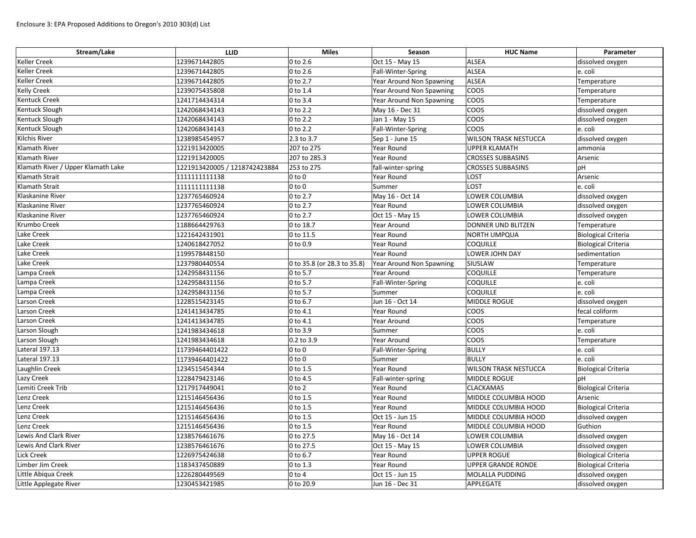| Stream/Lake                        | <b>LLID</b>                   | <b>Miles</b>                | Season                   | <b>HUC Name</b>              | Parameter                  |
|------------------------------------|-------------------------------|-----------------------------|--------------------------|------------------------------|----------------------------|
| <b>Keller Creek</b>                | 1239671442805                 | 0 to 2.6                    | Oct 15 - May 15          | <b>ALSEA</b>                 | dissolved oxygen           |
| <b>Keller Creek</b>                | 1239671442805                 | 0 to 2.6                    | Fall-Winter-Spring       | <b>ALSEA</b>                 | e. coli                    |
| <b>Keller Creek</b>                | 1239671442805                 | 0 to 2.7                    | Year Around Non Spawning | <b>ALSEA</b>                 | Temperature                |
| <b>Kelly Creek</b>                 | 1239075435808                 | 0 to 1.4                    | Year Around Non Spawning | COOS                         | Temperature                |
| <b>Kentuck Creek</b>               | 1241714434314                 | 0 to 3.4                    | Year Around Non Spawning | COOS                         | Temperature                |
| Kentuck Slough                     | 1242068434143                 | 0 to 2.2                    | May 16 - Dec 31          | <b>COOS</b>                  | dissolved oxygen           |
| Kentuck Slough                     | 1242068434143                 | 0 to 2.2                    | Jan 1 - May 15           | COOS                         | dissolved oxygen           |
| Kentuck Slough                     | 1242068434143                 | 0 to 2.2                    | Fall-Winter-Spring       | COOS                         | e. coli                    |
| <b>Kilchis River</b>               | 1238985454957                 | 2.3 to 3.7                  | Sep 1 - June 15          | <b>WILSON TRASK NESTUCCA</b> | dissolved oxygen           |
| <b>Klamath River</b>               | 1221913420005                 | 207 to 275                  | Year Round               | <b>UPPER KLAMATH</b>         | ammonia                    |
| Klamath River                      | 1221913420005                 | 207 to 285.3                | Year Round               | <b>CROSSES SUBBASINS</b>     | Arsenic                    |
| Klamath River / Upper Klamath Lake | 1221913420005 / 1218742423884 | 253 to 275                  | fall-winter-spring       | <b>CROSSES SUBBASINS</b>     | pH                         |
| <b>Klamath Strait</b>              | 1111111111138                 | $0$ to $0$                  | Year Round               | <b>LOST</b>                  | Arsenic                    |
| <b>Klamath Strait</b>              | 1111111111138                 | $0$ to $0$                  | Summer                   | <b>LOST</b>                  | e. coli                    |
| Klaskanine River                   | 1237765460924                 | 0 to 2.7                    | May 16 - Oct 14          | LOWER COLUMBIA               | dissolved oxygen           |
| Klaskanine River                   | 1237765460924                 | 0 to 2.7                    | Year Round               | <b>LOWER COLUMBIA</b>        | dissolved oxygen           |
| Klaskanine River                   | 1237765460924                 | 0 to 2.7                    | Oct 15 - May 15          | <b>LOWER COLUMBIA</b>        | dissolved oxygen           |
| Krumbo Creek                       | 1188664429763                 | 0 to 18.7                   | <b>Year Around</b>       | <b>DONNER UND BLITZEN</b>    | Temperature                |
| Lake Creek                         | 1221642431901                 | 0 to 11.5                   | Year Round               | <b>NORTH UMPQUA</b>          | <b>Biological Criteria</b> |
| Lake Creek                         | 1240618427052                 | $ 0 \text{ to } 0.9$        | Year Round               | <b>COQUILLE</b>              | <b>Biological Criteria</b> |
| Lake Creek                         | 1199578448150                 |                             | Year Round               | LOWER JOHN DAY               | sedimentation              |
| Lake Creek                         | 1237980440554                 | 0 to 35.8 (or 28.3 to 35.8) | Year Around Non Spawning | SIUSLAW                      | Temperature                |
| Lampa Creek                        | 1242958431156                 | 0 to 5.7                    | Year Around              | <b>COQUILLE</b>              | Temperature                |
| Lampa Creek                        | 1242958431156                 | 0 to 5.7                    | Fall-Winter-Spring       | <b>COQUILLE</b>              | e. coli                    |
| Lampa Creek                        | 1242958431156                 | 0 to 5.7                    | Summer                   | <b>COQUILLE</b>              | e. coli                    |
| Larson Creek                       | 1228515423145                 | 0 to 6.7                    | Jun 16 - Oct 14          | MIDDLE ROGUE                 | dissolved oxygen           |
| <b>Larson Creek</b>                | 1241413434785                 | 0 to 4.1                    | Year Round               | COOS                         | fecal coliform             |
| Larson Creek                       | 1241413434785                 | 0 to 4.1                    | Year Around              | <b>COOS</b>                  | Temperature                |
| Larson Slough                      | 1241983434618                 | 0 to 3.9                    | Summer                   | COOS                         | e. coli                    |
| Larson Slough                      | 1241983434618                 | 0.2 to 3.9                  | Year Around              | COOS                         | Temperature                |
| Lateral 197.13                     | 11739464401422                | $0$ to $0$                  | Fall-Winter-Spring       | <b>BULLY</b>                 | e. coli                    |
| Lateral 197.13                     | 11739464401422                | $0$ to $0$                  | Summer                   | BULLY                        | e. coli                    |
| Laughlin Creek                     | 1234515454344                 | 0 to 1.5                    | Year Round               | <b>WILSON TRASK NESTUCCA</b> | <b>Biological Criteria</b> |
| <b>Lazy Creek</b>                  | 1228479423146                 | $0$ to 4.5                  | Fall-winter-spring       | MIDDLE ROGUE                 | pH                         |
| Lemiti Creek Trib                  | 1217917449041                 | $0$ to $2$                  | Year Round               | <b>CLACKAMAS</b>             | <b>Biological Criteria</b> |
| Lenz Creek                         | 1215146456436                 | 0 to 1.5                    | Year Round               | MIDDLE COLUMBIA HOOD         | Arsenic                    |
| Lenz Creek                         | 1215146456436                 | 0 to 1.5                    | Year Round               | MIDDLE COLUMBIA HOOD         | <b>Biological Criteria</b> |
| Lenz Creek                         | 1215146456436                 | 0 to 1.5                    | Oct 15 - Jun 15          | MIDDLE COLUMBIA HOOD         | dissolved oxygen           |
| Lenz Creek                         | 1215146456436                 | 0 to 1.5                    | Year Round               | MIDDLE COLUMBIA HOOD         | Guthion                    |
| Lewis And Clark River              | 1238576461676                 | 0 to 27.5                   | May 16 - Oct 14          | LOWER COLUMBIA               | dissolved oxygen           |
| Lewis And Clark River              | 1238576461676                 | 0 to 27.5                   | Oct 15 - May 15          | LOWER COLUMBIA               | dissolved oxygen           |
| <b>Lick Creek</b>                  | 1226975424638                 | 0 to 6.7                    | Year Round               | <b>UPPER ROGUE</b>           | <b>Biological Criteria</b> |
| Limber Jim Creek                   | 1183437450889                 | 0 to 1.3                    | Year Round               | <b>UPPER GRANDE RONDE</b>    | Biological Criteria        |
| Little Abiqua Creek                | 1226280449569                 | $0$ to $4$                  | Oct 15 - Jun 15          | MOLALLA PUDDING              | dissolved oxygen           |
| Little Applegate River             | 1230453421985                 | 0 to 20.9                   | Jun 16 - Dec 31          | APPLEGATE                    | dissolved oxygen           |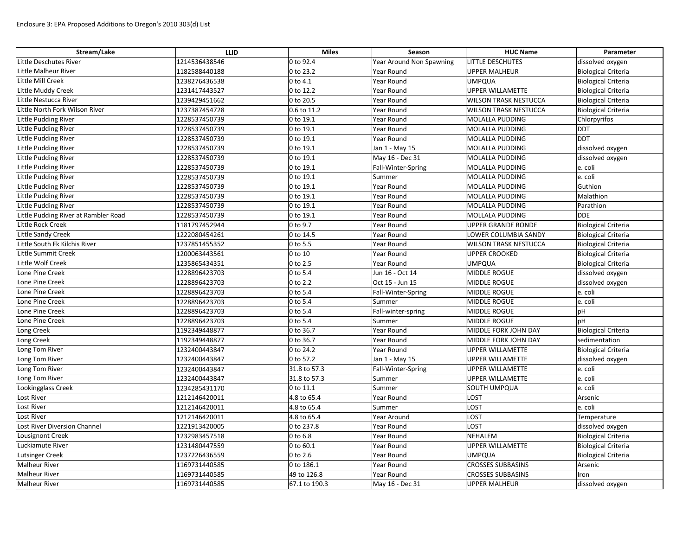| Stream/Lake                          | <b>LLID</b>   | <b>Miles</b>  | Season                   | <b>HUC Name</b>              | Parameter                  |
|--------------------------------------|---------------|---------------|--------------------------|------------------------------|----------------------------|
| Little Deschutes River               | 1214536438546 | 0 to 92.4     | Year Around Non Spawning | LITTLE DESCHUTES             | dissolved oxygen           |
| Little Malheur River                 | 1182588440188 | 0 to 23.2     | Year Round               | <b>UPPER MALHEUR</b>         | <b>Biological Criteria</b> |
| Little Mill Creek                    | 1238276436538 | 0 to 4.1      | Year Round               | <b>UMPQUA</b>                | <b>Biological Criteria</b> |
| Little Muddy Creek                   | 1231417443527 | 0 to 12.2     | Year Round               | <b>UPPER WILLAMETTE</b>      | <b>Biological Criteria</b> |
| Little Nestucca River                | 1239429451662 | 0 to 20.5     | Year Round               | <b>WILSON TRASK NESTUCCA</b> | <b>Biological Criteria</b> |
| Little North Fork Wilson River       | 1237387454728 | 0.6 to 11.2   | Year Round               | <b>WILSON TRASK NESTUCCA</b> | <b>Biological Criteria</b> |
| Little Pudding River                 | 1228537450739 | 0 to 19.1     | Year Round               | MOLALLA PUDDING              | Chlorpyrifos               |
| Little Pudding River                 | 1228537450739 | 0 to 19.1     | Year Round               | MOLALLA PUDDING              | <b>DDT</b>                 |
| Little Pudding River                 | 1228537450739 | 0 to 19.1     | Year Round               | MOLALLA PUDDING              | <b>DDT</b>                 |
| Little Pudding River                 | 1228537450739 | 0 to 19.1     | Jan 1 - May 15           | MOLALLA PUDDING              | dissolved oxygen           |
| Little Pudding River                 | 1228537450739 | 0 to 19.1     | May 16 - Dec 31          | MOLALLA PUDDING              | dissolved oxygen           |
| Little Pudding River                 | 1228537450739 | 0 to 19.1     | Fall-Winter-Spring       | MOLALLA PUDDING              | e. coli                    |
| Little Pudding River                 | 1228537450739 | 0 to 19.1     | Summer                   | MOLALLA PUDDING              | e. coli                    |
| Little Pudding River                 | 1228537450739 | 0 to 19.1     | Year Round               | MOLALLA PUDDING              | Guthion                    |
| Little Pudding River                 | 1228537450739 | 0 to $19.1$   | Year Round               | MOLALLA PUDDING              | Malathion                  |
| Little Pudding River                 | 1228537450739 | 0 to 19.1     | Year Round               | MOLALLA PUDDING              | Parathion                  |
| Little Pudding River at Rambler Road | 1228537450739 | 0 to 19.1     | Year Round               | MOLLALA PUDDING              | <b>DDE</b>                 |
| Little Rock Creek                    | 1181797452944 | 0 to 9.7      | Year Round               | <b>UPPER GRANDE RONDE</b>    | <b>Biological Criteria</b> |
| <b>Little Sandy Creek</b>            | 1222080454261 | 0 to 14.5     | Year Round               | LOWER COLUMBIA SANDY         | <b>Biological Criteria</b> |
| Little South Fk Kilchis River        | 1237851455352 | 0 to 5.5      | Year Round               | <b>WILSON TRASK NESTUCCA</b> | <b>Biological Criteria</b> |
| Little Summit Creek                  | 1200063443561 | 0 to 10       | Year Round               | <b>UPPER CROOKED</b>         | <b>Biological Criteria</b> |
| Little Wolf Creek                    | 1235865434351 | 0 to 2.5      | Year Round               | <b>UMPQUA</b>                | <b>Biological Criteria</b> |
| Lone Pine Creek                      | 1228896423703 | 0 to 5.4      | Jun 16 - Oct 14          | MIDDLE ROGUE                 | dissolved oxygen           |
| Lone Pine Creek                      | 1228896423703 | 0 to 2.2      | Oct 15 - Jun 15          | MIDDLE ROGUE                 | dissolved oxygen           |
| Lone Pine Creek                      | 1228896423703 | 0 to 5.4      | Fall-Winter-Spring       | MIDDLE ROGUE                 | e. coli                    |
| Lone Pine Creek                      | 1228896423703 | 0 to 5.4      | Summer                   | MIDDLE ROGUE                 | e. coli                    |
| Lone Pine Creek                      | 1228896423703 | 0 to 5.4      | Fall-winter-spring       | MIDDLE ROGUE                 | pH                         |
| Lone Pine Creek                      | 1228896423703 | 0 to 5.4      | Summer                   | MIDDLE ROGUE                 | рH                         |
| Long Creek                           | 1192349448877 | 0 to 36.7     | Year Round               | MIDDLE FORK JOHN DAY         | <b>Biological Criteria</b> |
| Long Creek                           | 1192349448877 | 0 to 36.7     | Year Round               | MIDDLE FORK JOHN DAY         | sedimentation              |
| Long Tom River                       | 1232400443847 | 0 to 24.2     | Year Round               | UPPER WILLAMETTE             | Biological Criteria        |
| Long Tom River                       | 1232400443847 | 0 to 57.2     | Jan 1 - May 15           | <b>UPPER WILLAMETTE</b>      | dissolved oxygen           |
| Long Tom River                       | 1232400443847 | 31.8 to 57.3  | Fall-Winter-Spring       | <b>UPPER WILLAMETTE</b>      | e. coli                    |
| Long Tom River                       | 1232400443847 | 31.8 to 57.3  | Summer                   | <b>UPPER WILLAMETTE</b>      | e. coli                    |
| Lookingglass Creek                   | 1234285431170 | 0 to 11.1     | Summer                   | SOUTH UMPQUA                 | e. coli                    |
| Lost River                           | 1212146420011 | 4.8 to 65.4   | Year Round               | LOST                         | Arsenic                    |
| Lost River                           | 1212146420011 | 4.8 to 65.4   | Summer                   | <b>LOST</b>                  | e. coli                    |
| Lost River                           | 1212146420011 | 4.8 to 65.4   | Year Around              | LOST                         | Temperature                |
| Lost River Diversion Channel         | 1221913420005 | 0 to 237.8    | Year Round               | <b>LOST</b>                  | dissolved oxygen           |
| Lousignont Creek                     | 1232983457518 | $0$ to $6.8$  | Year Round               | NEHALEM                      | <b>Biological Criteria</b> |
| Luckiamute River                     | 1231480447559 | 0 to 60.1     | Year Round               | <b>UPPER WILLAMETTE</b>      | <b>Biological Criteria</b> |
| Lutsinger Creek                      | 1237226436559 | 0 to 2.6      | Year Round               | <b>UMPQUA</b>                | <b>Biological Criteria</b> |
| <b>Malheur River</b>                 | 1169731440585 | 0 to 186.1    | Year Round               | <b>CROSSES SUBBASINS</b>     | Arsenic                    |
| <b>Malheur River</b>                 | 1169731440585 | 49 to 126.8   | Year Round               | <b>CROSSES SUBBASINS</b>     | Iron                       |
| <b>Malheur River</b>                 | 1169731440585 | 67.1 to 190.3 | May 16 - Dec 31          | <b>UPPER MALHEUR</b>         | dissolved oxygen           |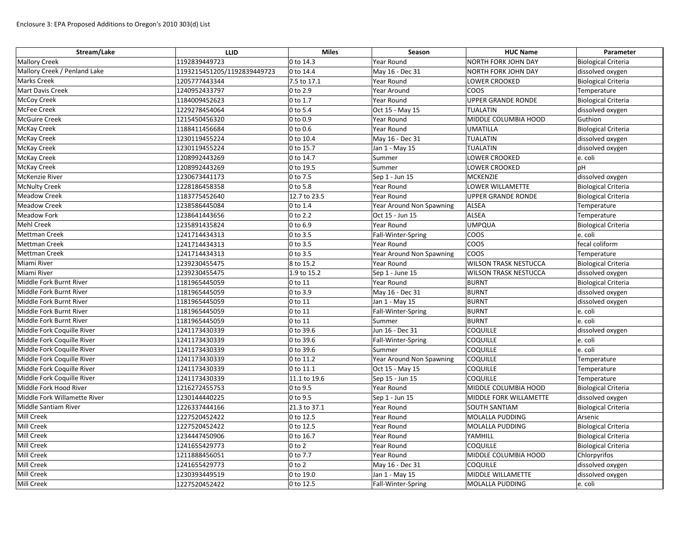| Stream/Lake                  | <b>LLID</b>                 | <b>Miles</b>           | Season                   | <b>HUC Name</b>              | Parameter                  |
|------------------------------|-----------------------------|------------------------|--------------------------|------------------------------|----------------------------|
| <b>Mallory Creek</b>         | 1192839449723               | $ 0 \text{ to } 14.3$  | Year Round               | NORTH FORK JOHN DAY          | <b>Biological Criteria</b> |
| Mallory Creek / Penland Lake | 1193215451205/1192839449723 | $ 0 \text{ to } 14.4 $ | May 16 - Dec 31          | NORTH FORK JOHN DAY          | dissolved oxygen           |
| <b>Marks Creek</b>           | 1205777443344               | 7.5 to 17.1            | Year Round               | <b>LOWER CROOKED</b>         | <b>Biological Criteria</b> |
| <b>Mart Davis Creek</b>      | 1240952433797               | 0 to 2.9               | Year Around              | <b>COOS</b>                  | Temperature                |
| <b>McCoy Creek</b>           | 1184009452623               | $0$ to 1.7             | Year Round               | <b>UPPER GRANDE RONDE</b>    | <b>Biological Criteria</b> |
| <b>McFee Creek</b>           | 1229278454064               | $ 0 \text{ to } 5.4$   | Oct 15 - May 15          | <b>TUALATIN</b>              | dissolved oxygen           |
| <b>McGuire Creek</b>         | 1215450456320               | $ 0 \text{ to } 0.9$   | Year Round               | MIDDLE COLUMBIA HOOD         | Guthion                    |
| <b>McKay Creek</b>           | 1188411456684               | $ 0 \text{ to } 0.6$   | Year Round               | UMATILLA                     | <b>Biological Criteria</b> |
| <b>McKay Creek</b>           | 1230119455224               | 0 to 10.4              | May 16 - Dec 31          | TUALATIN                     | dissolved oxygen           |
| <b>McKay Creek</b>           | 1230119455224               | $ 0 \text{ to } 15.7$  | Jan 1 - May 15           | TUALATIN                     | dissolved oxygen           |
| <b>McKay Creek</b>           | 1208992443269               | $ 0 \text{ to } 14.7$  | Summer                   | LOWER CROOKED                | e. coli                    |
| <b>McKay Creek</b>           | 1208992443269               | $ 0 \text{ to } 19.5$  | Summer                   | LOWER CROOKED                | pH                         |
| <b>McKenzie River</b>        | 1230673441173               | $ 0 \text{ to } 7.5$   | Sep 1 - Jun 15           | MCKENZIE                     | dissolved oxygen           |
| <b>McNulty Creek</b>         | 1228186458358               | 0 to 5.8               | Year Round               | LOWER WILLAMETTE             | <b>Biological Criteria</b> |
| <b>Meadow Creek</b>          | 1183775452640               | 12.7 to 23.5           | Year Round               | UPPER GRANDE RONDE           | <b>Biological Criteria</b> |
| <b>Meadow Creek</b>          | 1238586445084               | $ 0 \text{ to } 1.4$   | Year Around Non Spawning | <b>ALSEA</b>                 | Temperature                |
| <b>Meadow Fork</b>           | 1238641443656               | $ 0 \text{ to } 2.2 $  | Oct 15 - Jun 15          | ALSEA                        | Temperature                |
| <b>Mehl Creek</b>            | 1235891435824               | $ 0 \text{ to } 6.9$   | Year Round               | UMPQUA                       | <b>Biological Criteria</b> |
| Mettman Creek                | 1241714434313               | 0 to 3.5               | Fall-Winter-Spring       | COOS                         | e. coli                    |
| <b>Mettman Creek</b>         | 1241714434313               | $ 0 \text{ to } 3.5$   | Year Round               | coos                         | fecal coliform             |
| Mettman Creek                | 1241714434313               | 0 to 3.5               | Year Around Non Spawning | coos                         | Temperature                |
| Miami River                  | 1239230455475               | 8 to 15.2              | Year Round               | WILSON TRASK NESTUCCA        | <b>Biological Criteria</b> |
| Miami River                  | 1239230455475               | 1.9 to 15.2            | Sep 1 - June 15          | <b>WILSON TRASK NESTUCCA</b> | dissolved oxygen           |
| Middle Fork Burnt River      | 1181965445059               | $ 0 \text{ to } 11$    | Year Round               | <b>BURNT</b>                 | <b>Biological Criteria</b> |
| Middle Fork Burnt River      | 1181965445059               | $ 0 \text{ to } 3.9$   | May 16 - Dec 31          | <b>BURNT</b>                 | dissolved oxygen           |
| Middle Fork Burnt River      | 1181965445059               | $0$ to 11              | Jan 1 - May 15           | <b>BURNT</b>                 | dissolved oxygen           |
| Middle Fork Burnt River      | 1181965445059               | $ 0 \text{ to } 11$    | Fall-Winter-Spring       | <b>BURNT</b>                 | e. coli                    |
| Middle Fork Burnt River      | 1181965445059               | $ 0 \text{ to } 11$    | Summer                   | <b>BURNT</b>                 | e. coli                    |
| Middle Fork Coquille River   | 1241173430339               | 0 to 39.6              | Jun 16 - Dec 31          | <b>COQUILLE</b>              | dissolved oxygen           |
| Middle Fork Coquille River   | 1241173430339               | 0 to 39.6              | Fall-Winter-Spring       | <b>COQUILLE</b>              | e. coli                    |
| Middle Fork Coquille River   | 1241173430339               | 0 to 39.6              | Summer                   | <b>COQUILLE</b>              | e. coli                    |
| Middle Fork Coquille River   | 1241173430339               | 0 to 11.2              | Year Around Non Spawning | <b>COQUILLE</b>              | Temperature                |
| Middle Fork Coquille River   | 1241173430339               | $ 0 \text{ to } 11.1$  | Oct 15 - May 15          | <b>COQUILLE</b>              | Temperature                |
| Middle Fork Coquille River   | 1241173430339               | 11.1 to 19.6           | Sep 15 - Jun 15          | <b>COQUILLE</b>              | Temperature                |
| Middle Fork Hood River       | 1216272455753               | $ 0 \text{ to } 9.5$   | Year Round               | MIDDLE COLUMBIA HOOD         | <b>Biological Criteria</b> |
| Middle Fork Willamette River | 1230144440225               | $ 0 \text{ to } 9.5$   | Sep 1 - Jun 15           | MIDDLE FORK WILLAMETTE       | dissolved oxygen           |
| Middle Santiam River         | 1226337444166               | 21.3 to 37.1           | Year Round               | <b>SOUTH SANTIAM</b>         | <b>Biological Criteria</b> |
| Mill Creek                   | 1227520452422               | $ 0 \text{ to } 12.5$  | Year Round               | MOLALLA PUDDING              | Arsenic                    |
| Mill Creek                   | 1227520452422               | 0 to 12.5              | Year Round               | MOLALLA PUDDING              | <b>Biological Criteria</b> |
| Mill Creek                   | 1234447450906               | 0 to 16.7              | Year Round               | YAMHILL                      | <b>Biological Criteria</b> |
| <b>Mill Creek</b>            | 1241655429773               | $0$ to 2               | Year Round               | Coquille                     | Biological Criteria        |
| Mill Creek                   | 1211888456051               | $ 0 \text{ to } 7.7$   | Year Round               | MIDDLE COLUMBIA HOOD         | Chlorpyrifos               |
| Mill Creek                   | 1241655429773               | $ 0 \text{ to } 2 $    | May 16 - Dec 31          | <b>COQUILLE</b>              | dissolved oxygen           |
| <b>Mill Creek</b>            | 1230393449519               | 0 to 19.0              | Jan 1 - May 15           | MIDDLE WILLAMETTE            | dissolved oxygen           |
| Mill Creek                   | 1227520452422               | $ 0 \text{ to } 12.5$  | Fall-Winter-Spring       | MOLALLA PUDDING              | e. coli                    |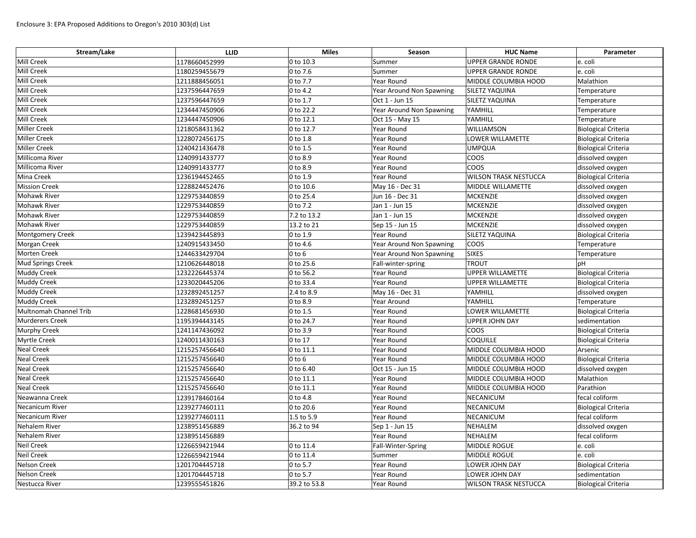| Stream/Lake              | <b>LLID</b>   | <b>Miles</b>           | Season                   | <b>HUC Name</b>              | Parameter                  |
|--------------------------|---------------|------------------------|--------------------------|------------------------------|----------------------------|
| <b>Mill Creek</b>        | 1178660452999 | $ 0 \text{ to } 10.3$  | Summer                   | <b>UPPER GRANDE RONDE</b>    | e. coli                    |
| <b>Mill Creek</b>        | 1180259455679 | $ 0 \text{ to } 7.6$   | Summer                   | <b>UPPER GRANDE RONDE</b>    | e. coli                    |
| <b>Mill Creek</b>        | 1211888456051 | $ 0 \text{ to } 7.7$   | Year Round               | MIDDLE COLUMBIA HOOD         | Malathion                  |
| <b>Mill Creek</b>        | 1237596447659 | $ 0 \text{ to } 4.2 $  | Year Around Non Spawning | <b>SILETZ YAQUINA</b>        | Temperature                |
| <b>Mill Creek</b>        | 1237596447659 | $0$ to 1.7             | Oct 1 - Jun 15           | <b>SILETZ YAQUINA</b>        | Temperature                |
| <b>Mill Creek</b>        | 1234447450906 | 0 to 22.2              | Year Around Non Spawning | YAMHILL                      | Temperature                |
| Mill Creek               | 1234447450906 | $ 0 \text{ to } 12.1$  | Oct 15 - May 15          | YAMHILL                      | Temperature                |
| <b>Miller Creek</b>      | 1218058431362 | $ 0 \text{ to } 12.7$  | Year Round               | <b>WILLIAMSON</b>            | <b>Biological Criteria</b> |
| <b>Miller Creek</b>      | 1228072456175 | $ 0 \text{ to } 1.8$   | Year Round               | LOWER WILLAMETTE             | <b>Biological Criteria</b> |
| <b>Miller Creek</b>      | 1240421436478 | $ 0 \text{ to } 1.5$   | Year Round               | UMPQUA                       | <b>Biological Criteria</b> |
| Millicoma River          | 1240991433777 | $ 0 \text{ to } 8.9$   | Year Round               | coos                         | dissolved oxygen           |
| Millicoma River          | 1240991433777 | $ 0 \text{ to } 8.9$   | Year Round               | coos                         | dissolved oxygen           |
| <b>Mina Creek</b>        | 1236194452465 | $ 0 \text{ to } 1.9$   | Year Round               | <b>WILSON TRASK NESTUCCA</b> | <b>Biological Criteria</b> |
| <b>Mission Creek</b>     | 1228824452476 | $ 0 \text{ to } 10.6$  | May 16 - Dec 31          | MIDDLE WILLAMETTE            | dissolved oxygen           |
| <b>Mohawk River</b>      | 1229753440859 | $ 0 \text{ to } 25.4 $ | Jun 16 - Dec 31          | MCKENZIE                     | dissolved oxygen           |
| <b>Mohawk River</b>      | 1229753440859 | $ 0 \text{ to } 7.2 $  | Jan 1 - Jun 15           | MCKENZIE                     | dissolved oxygen           |
| <b>Mohawk River</b>      | 1229753440859 | 7.2 to 13.2            | Jan 1 - Jun 15           | MCKENZIE                     | dissolved oxygen           |
| <b>Mohawk River</b>      | 1229753440859 | 13.2 to 21             | Sep 15 - Jun 15          | MCKENZIE                     | dissolved oxygen           |
| <b>Montgomery Creek</b>  | 1239423445893 | $ 0 \text{ to } 1.9$   | Year Round               | <b>SILETZ YAQUINA</b>        | <b>Biological Criteria</b> |
| Morgan Creek             | 1240915433450 | $ 0 \text{ to } 4.6$   | Year Around Non Spawning | <b>COOS</b>                  | Temperature                |
| <b>Morten Creek</b>      | 1244633429704 | $0$ to 6               | Year Around Non Spawning | <b>SIXES</b>                 | Temperature                |
| <b>Mud Springs Creek</b> | 1210626448018 | $0$ to 25.6            | Fall-winter-spring       | <b>TROUT</b>                 | pH                         |
| <b>Muddy Creek</b>       | 1232226445374 | $ 0 \text{ to } 56.2$  | Year Round               | <b>UPPER WILLAMETTE</b>      | <b>Biological Criteria</b> |
| <b>Muddy Creek</b>       | 1233020445206 | $ 0 \text{ to } 33.4$  | Year Round               | UPPER WILLAMETTE             | <b>Biological Criteria</b> |
| <b>Muddy Creek</b>       | 1232892451257 | 2.4 to 8.9             | May 16 - Dec 31          | YAMHILL                      | dissolved oxygen           |
| <b>Muddy Creek</b>       | 1232892451257 | 0 to 8.9               | Year Around              | YAMHILL                      | Temperature                |
| Multnomah Channel Trib   | 1228681456930 | $ 0 \text{ to } 1.5$   | Year Round               | LOWER WILLAMETTE             | <b>Biological Criteria</b> |
| <b>Murderers Creek</b>   | 1195394443145 | 0 to 24.7              | Year Round               | UPPER JOHN DAY               | sedimentation              |
| <b>Murphy Creek</b>      | 1241147436092 | $ 0 \text{ to } 3.9$   | Year Round               | coos                         | <b>Biological Criteria</b> |
| <b>Myrtle Creek</b>      | 1240011430163 | $ 0 \text{ to } 17$    | Year Round               | <b>COQUILLE</b>              | <b>Biological Criteria</b> |
| <b>Neal Creek</b>        | 1215257456640 | $ 0 \text{ to } 11.1$  | Year Round               | MIDDLE COLUMBIA HOOD         | Arsenic                    |
| <b>Neal Creek</b>        | 1215257456640 | $0$ to 6               | Year Round               | MIDDLE COLUMBIA HOOD         | <b>Biological Criteria</b> |
| <b>Neal Creek</b>        | 1215257456640 | 0 to 6.40              | Oct 15 - Jun 15          | MIDDLE COLUMBIA HOOD         | dissolved oxygen           |
| <b>Neal Creek</b>        | 1215257456640 | $ 0 \text{ to } 11.1$  | Year Round               | MIDDLE COLUMBIA HOOD         | Malathion                  |
| <b>Neal Creek</b>        | 1215257456640 | $ 0 \text{ to } 11.1$  | Year Round               | MIDDLE COLUMBIA HOOD         | Parathion                  |
| Neawanna Creek           | 1239178460164 | $0$ to 4.8             | Year Round               | NECANICUM                    | fecal coliform             |
| Necanicum River          | 1239277460111 | 0 to 20.6              | Year Round               | NECANICUM                    | <b>Biological Criteria</b> |
| <b>Necanicum River</b>   | 1239277460111 | 1.5 to 5.9             | Year Round               | NECANICUM                    | fecal coliform             |
| Nehalem River            | 1238951456889 | 36.2 to 94             | Sep 1 - Jun 15           | NEHALEM                      | dissolved oxygen           |
| Nehalem River            | 1238951456889 |                        | Year Round               | NEHALEM                      | fecal coliform             |
| <b>Neil Creek</b>        | 1226659421944 | $ 0 \text{ to } 11.4 $ | Fall-Winter-Spring       | MIDDLE ROGUE                 | e. coli                    |
| <b>Neil Creek</b>        | 1226659421944 | $ 0 \text{ to } 11.4 $ | Summer                   | MIDDLE ROGUE                 | e. coli                    |
| <b>Nelson Creek</b>      | 1201704445718 | $ 0 \text{ to } 5.7 $  | Year Round               | LOWER JOHN DAY               | <b>Biological Criteria</b> |
| <b>Nelson Creek</b>      | 1201704445718 | $ 0 \text{ to } 5.7$   | Year Round               | LOWER JOHN DAY               | sedimentation              |
| Nestucca River           | 1239555451826 | 39.2 to 53.8           | Year Round               | <b>WILSON TRASK NESTUCCA</b> | <b>Biological Criteria</b> |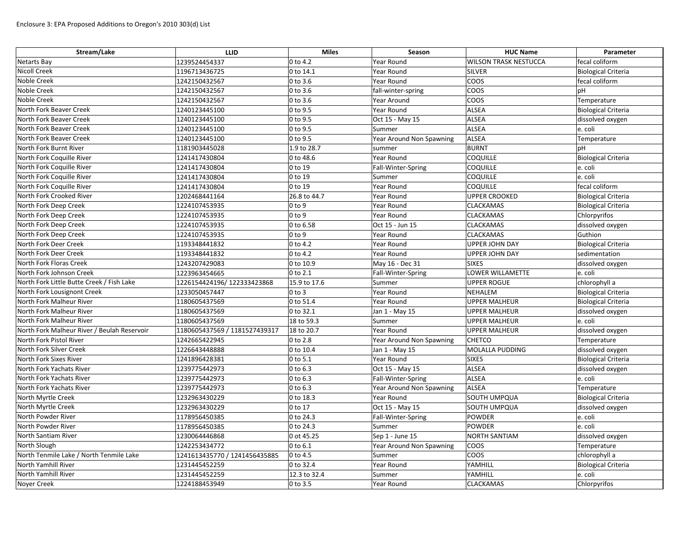| Stream/Lake                                 | <b>LLID</b>                   | <b>Miles</b>         | Season                   | <b>HUC Name</b>              | Parameter                  |
|---------------------------------------------|-------------------------------|----------------------|--------------------------|------------------------------|----------------------------|
| <b>Netarts Bay</b>                          | 1239524454337                 | 0 to 4.2             | Year Round               | <b>WILSON TRASK NESTUCCA</b> | fecal coliform             |
| <b>Nicoll Creek</b>                         | 1196713436725                 | 0 to 14.1            | Year Round               | SILVER                       | <b>Biological Criteria</b> |
| Noble Creek                                 | 1242150432567                 | 0 to 3.6             | <b>Year Round</b>        | COOS                         | fecal coliform             |
| Noble Creek                                 | 1242150432567                 | 0 to 3.6             | fall-winter-spring       | COOS                         | pH                         |
| Noble Creek                                 | 1242150432567                 | 0 to 3.6             | Year Around              | <b>COOS</b>                  | Temperature                |
| North Fork Beaver Creek                     | 1240123445100                 | 0 to 9.5             | Year Round               | ALSEA                        | Biological Criteria        |
| North Fork Beaver Creek                     | 1240123445100                 | 0 to 9.5             | Oct 15 - May 15          | ALSEA                        | dissolved oxygen           |
| North Fork Beaver Creek                     | 1240123445100                 | 0 to 9.5             | Summer                   | <b>ALSEA</b>                 | e. coli                    |
| North Fork Beaver Creek                     | 1240123445100                 | 0 to 9.5             | Year Around Non Spawning | <b>ALSEA</b>                 | Temperature                |
| North Fork Burnt River                      | 1181903445028                 | 1.9 to 28.7          | summer                   | <b>BURNT</b>                 | pH                         |
| North Fork Coquille River                   | 1241417430804                 | 0 to 48.6            | Year Round               | <b>COQUILLE</b>              | <b>Biological Criteria</b> |
| North Fork Coquille River                   | 1241417430804                 | 0 to 19              | Fall-Winter-Spring       | <b>COQUILLE</b>              | e. coli                    |
| North Fork Coquille River                   | 1241417430804                 | 0 to 19              | Summer                   | <b>COQUILLE</b>              | e. coli                    |
| North Fork Coquille River                   | 1241417430804                 | 0 to 19              | Year Round               | <b>COQUILLE</b>              | fecal coliform             |
| North Fork Crooked River                    | 1202468441164                 | 26.8 to 44.7         | Year Round               | <b>UPPER CROOKED</b>         | <b>Biological Criteria</b> |
| North Fork Deep Creek                       | 1224107453935                 | $0$ to $9$           | Year Round               | <b>CLACKAMAS</b>             | <b>Biological Criteria</b> |
| North Fork Deep Creek                       | 1224107453935                 | $0$ to $9$           | <b>Year Round</b>        | <b>CLACKAMAS</b>             | Chlorpyrifos               |
| North Fork Deep Creek                       | 1224107453935                 | 0 to 6.58            | Oct 15 - Jun 15          | <b>CLACKAMAS</b>             | dissolved oxygen           |
| North Fork Deep Creek                       | 1224107453935                 | $0$ to $9$           | Year Round               | <b>CLACKAMAS</b>             | Guthion                    |
| North Fork Deer Creek                       | 1193348441832                 | 0 to 4.2             | Year Round               | <b>UPPER JOHN DAY</b>        | <b>Biological Criteria</b> |
| North Fork Deer Creek                       | 1193348441832                 | 0 to 4.2             | Year Round               | <b>UPPER JOHN DAY</b>        | sedimentation              |
| North Fork Floras Creek                     | 1243207429083                 | 0 to 10.9            | May 16 - Dec 31          | <b>SIXES</b>                 | dissolved oxygen           |
| North Fork Johnson Creek                    | 1223963454665                 | $ 0 \text{ to } 2.1$ | Fall-Winter-Spring       | LOWER WILLAMETTE             | e. coli                    |
| North Fork Little Butte Creek / Fish Lake   | 1226154424196/122333423868    | 15.9 to 17.6         | Summer                   | <b>UPPER ROGUE</b>           | chlorophyll a              |
| North Fork Lousignont Creek                 | 1233050457447                 | $0$ to $3$           | Year Round               | <b>NEHALEM</b>               | <b>Biological Criteria</b> |
| North Fork Malheur River                    | 1180605437569                 | 0 to 51.4            | Year Round               | <b>UPPER MALHEUR</b>         | <b>Biological Criteria</b> |
| North Fork Malheur River                    | 1180605437569                 | 0 to 32.1            | Jan 1 - May 15           | <b>UPPER MALHEUR</b>         | dissolved oxygen           |
| North Fork Malheur River                    | 1180605437569                 | 18 to 59.3           | Summer                   | <b>UPPER MALHEUR</b>         | e. coli                    |
| North Fork Malheur River / Beulah Reservoir | 1180605437569 / 1181527439317 | 18 to 20.7           | Year Round               | <b>UPPER MALHEUR</b>         | dissolved oxygen           |
| North Fork Pistol River                     | 1242665422945                 | 0 to 2.8             | Year Around Non Spawning | <b>CHETCO</b>                | Temperature                |
| North Fork Silver Creek                     | 1226643448888                 | 0 to 10.4            | Jan 1 - May 15           | MOLALLA PUDDING              | dissolved oxygen           |
| North Fork Sixes River                      | 1241896428381                 | 0 to 5.1             | Year Round               | <b>SIXES</b>                 | <b>Biological Criteria</b> |
| North Fork Yachats River                    | 1239775442973                 | 0 to 6.3             | Oct 15 - May 15          | <b>ALSEA</b>                 | dissolved oxygen           |
| North Fork Yachats River                    | 1239775442973                 | 0 to 6.3             | Fall-Winter-Spring       | <b>ALSEA</b>                 | e. coli                    |
| North Fork Yachats River                    | 1239775442973                 | $0$ to $6.3$         | Year Around Non Spawning | ALSEA                        | Temperature                |
| North Myrtle Creek                          | 1232963430229                 | 0 to 18.3            | Year Round               | SOUTH UMPQUA                 | <b>Biological Criteria</b> |
| North Myrtle Creek                          | 1232963430229                 | 0 to 17              | Oct 15 - May 15          | SOUTH UMPQUA                 | dissolved oxygen           |
| North Powder River                          | 1178956450385                 | 0 to 24.3            | Fall-Winter-Spring       | <b>POWDER</b>                | e. coli                    |
| North Powder River                          | 1178956450385                 | 0 to 24.3            | Summer                   | <b>POWDER</b>                | e. coli                    |
| North Santiam River                         | 1230064446868                 | 0 ot 45.25           | Sep 1 - June 15          | <b>NORTH SANTIAM</b>         | dissolved oxygen           |
| North Slough                                | 1242253434772                 | $0$ to 6.1           | Year Around Non Spawning | <b>COOS</b>                  | Temperature                |
| North Tenmile Lake / North Tenmile Lake     | 1241613435770 / 1241456435885 | 0 to 4.5             | Summer                   | COOS                         | chlorophyll a              |
| North Yamhill River                         | 1231445452259                 | 0 to 32.4            | Year Round               | YAMHILL                      | Biological Criteria        |
| North Yamhill River                         | 1231445452259                 | 12.3 to 32.4         | Summer                   | YAMHILL                      | e. coli                    |
| Noyer Creek                                 | 1224188453949                 | 0 to 3.5             | Year Round               | <b>CLACKAMAS</b>             | Chlorpyrifos               |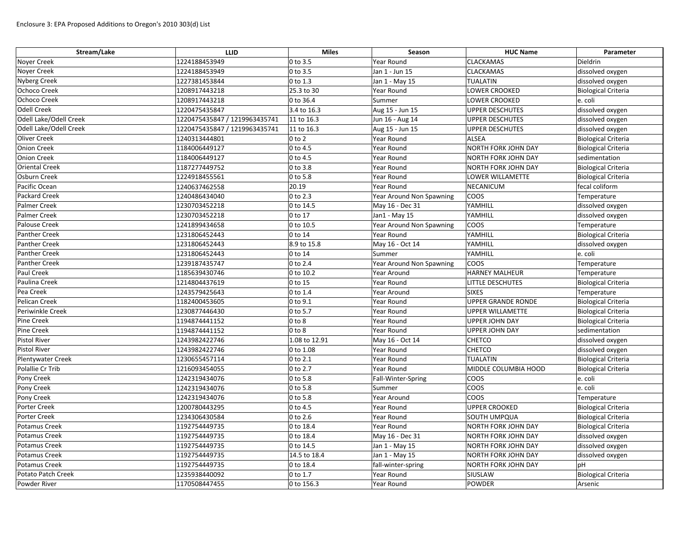| Stream/Lake              | <b>LLID</b>                   | <b>Miles</b>  | Season                   | <b>HUC Name</b>            | Parameter                  |
|--------------------------|-------------------------------|---------------|--------------------------|----------------------------|----------------------------|
| <b>Noyer Creek</b>       | 1224188453949                 | 0 to 3.5      | Year Round               | <b>CLACKAMAS</b>           | Dieldrin                   |
| Noyer Creek              | 1224188453949                 | $0$ to 3.5    | Jan 1 - Jun 15           | <b>CLACKAMAS</b>           | dissolved oxygen           |
| <b>Nyberg Creek</b>      | 1227381453844                 | 0 to 1.3      | Jan 1 - May 15           | <b>TUALATIN</b>            | dissolved oxygen           |
| Ochoco Creek             | 1208917443218                 | 25.3 to 30    | Year Round               | LOWER CROOKED              | <b>Biological Criteria</b> |
| Ochoco Creek             | 1208917443218                 | 0 to 36.4     | Summer                   | <b>LOWER CROOKED</b>       | e. coli                    |
| <b>Odell Creek</b>       | 1220475435847                 | 3.4 to 16.3   | Aug 15 - Jun 15          | <b>UPPER DESCHUTES</b>     | dissolved oxygen           |
| Odell Lake/Odell Creek   | 1220475435847 / 1219963435741 | 11 to 16.3    | Jun 16 - Aug 14          | <b>UPPER DESCHUTES</b>     | dissolved oxygen           |
| Odell Lake/Odell Creek   | 1220475435847 / 1219963435741 | 11 to 16.3    | Aug 15 - Jun 15          | <b>UPPER DESCHUTES</b>     | dissolved oxygen           |
| <b>Oliver Creek</b>      | 1240313444801                 | $0$ to $2$    | Year Round               | <b>ALSEA</b>               | <b>Biological Criteria</b> |
| <b>Onion Creek</b>       | 1184006449127                 | 0 to 4.5      | Year Round               | <b>NORTH FORK JOHN DAY</b> | <b>Biological Criteria</b> |
| <b>Onion Creek</b>       | 1184006449127                 | 0 to 4.5      | Year Round               | <b>NORTH FORK JOHN DAY</b> | sedimentation              |
| <b>Oriental Creek</b>    | 1187277449752                 | 0 to 3.8      | Year Round               | NORTH FORK JOHN DAY        | <b>Biological Criteria</b> |
| <b>Osburn Creek</b>      | 1224918455561                 | 0 to 5.8      | Year Round               | LOWER WILLAMETTE           | <b>Biological Criteria</b> |
| Pacific Ocean            | 1240637462558                 | 20.19         | Year Round               | <b>NECANICUM</b>           | fecal coliform             |
| <b>Packard Creek</b>     | 1240486434040                 | 0 to 2.3      | Year Around Non Spawning | <b>COOS</b>                | Temperature                |
| <b>Palmer Creek</b>      | 1230703452218                 | 0 to 14.5     | May 16 - Dec 31          | YAMHILL                    | dissolved oxygen           |
| <b>Palmer Creek</b>      | 1230703452218                 | 0 to 17       | Jan1 - May 15            | YAMHILL                    | dissolved oxygen           |
| Palouse Creek            | 1241899434658                 | 0 to 10.5     | Year Around Non Spawning | COOS                       | Temperature                |
| <b>Panther Creek</b>     | 1231806452443                 | 0 to 14       | Year Round               | YAMHILL                    | <b>Biological Criteria</b> |
| <b>Panther Creek</b>     | 1231806452443                 | 8.9 to 15.8   | May 16 - Oct 14          | YAMHILL                    | dissolved oxygen           |
| <b>Panther Creek</b>     | 1231806452443                 | 0 to 14       | Summer                   | YAMHILL                    | e. coli                    |
| <b>Panther Creek</b>     | 1239187435747                 | 0 to 2.4      | Year Around Non Spawning | COOS                       | Temperature                |
| Paul Creek               | 1185639430746                 | 0 to 10.2     | Year Around              | <b>HARNEY MALHEUR</b>      | Temperature                |
| Paulina Creek            | 1214804437619                 | 0 to 15       | Year Round               | LITTLE DESCHUTES           | <b>Biological Criteria</b> |
| Pea Creek                | 1243579425643                 | 0 to 1.4      | Year Around              | <b>SIXES</b>               | Temperature                |
| <b>Pelican Creek</b>     | 1182400453605                 | 0 to 9.1      | Year Round               | <b>UPPER GRANDE RONDE</b>  | <b>Biological Criteria</b> |
| Periwinkle Creek         | 1230877446430                 | 0 to 5.7      | Year Round               | <b>UPPER WILLAMETTE</b>    | <b>Biological Criteria</b> |
| <b>Pine Creek</b>        | 1194874441152                 | $0$ to $8$    | Year Round               | <b>UPPER JOHN DAY</b>      | <b>Biological Criteria</b> |
| <b>Pine Creek</b>        | 1194874441152                 | $0$ to $8$    | Year Round               | <b>UPPER JOHN DAY</b>      | sedimentation              |
| <b>Pistol River</b>      | 1243982422746                 | 1.08 to 12.91 | May 16 - Oct 14          | <b>CHETCO</b>              | dissolved oxygen           |
| <b>Pistol River</b>      | 1243982422746                 | 0 to 1.08     | Year Round               | <b>CHETCO</b>              | dissolved oxygen           |
| <b>Plentywater Creek</b> | 1230655457114                 | 0 to 2.1      | Year Round               | <b>TUALATIN</b>            | <b>Biological Criteria</b> |
| Polallie Cr Trib         | 1216093454055                 | 0 to 2.7      | Year Round               | MIDDLE COLUMBIA HOOD       | <b>Biological Criteria</b> |
| Pony Creek               | 1242319434076                 | 0 to 5.8      | Fall-Winter-Spring       | <b>COOS</b>                | e. coli                    |
| Pony Creek               | 1242319434076                 | 0 to 5.8      | Summer                   | <b>COOS</b>                | e. coli                    |
| Pony Creek               | 1242319434076                 | 0 to 5.8      | Year Around              | <b>COOS</b>                | Temperature                |
| <b>Porter Creek</b>      | 1200780443295                 | 0 to 4.5      | Year Round               | <b>UPPER CROOKED</b>       | <b>Biological Criteria</b> |
| Porter Creek             | 1234306430584                 | 0 to 2.6      | <b>Year Round</b>        | SOUTH UMPQUA               | <b>Biological Criteria</b> |
| Potamus Creek            | 1192754449735                 | 0 to 18.4     | Year Round               | NORTH FORK JOHN DAY        | <b>Biological Criteria</b> |
| <b>Potamus Creek</b>     | 1192754449735                 | 0 to 18.4     | May 16 - Dec 31          | NORTH FORK JOHN DAY        | dissolved oxygen           |
| <b>Potamus Creek</b>     | 1192754449735                 | 0 to 14.5     | Jan 1 - May 15           | NORTH FORK JOHN DAY        | dissolved oxygen           |
| Potamus Creek            | 1192754449735                 | 14.5 to 18.4  | Jan 1 - May 15           | NORTH FORK JOHN DAY        | dissolved oxygen           |
| Potamus Creek            | 1192754449735                 | 0 to 18.4     | fall-winter-spring       | NORTH FORK JOHN DAY        | pH                         |
| Potato Patch Creek       | 1235938440092                 | 0 to 1.7      | Year Round               | SIUSLAW                    | <b>Biological Criteria</b> |
| Powder River             | 1170508447455                 | 0 to 156.3    | Year Round               | <b>POWDER</b>              | Arsenic                    |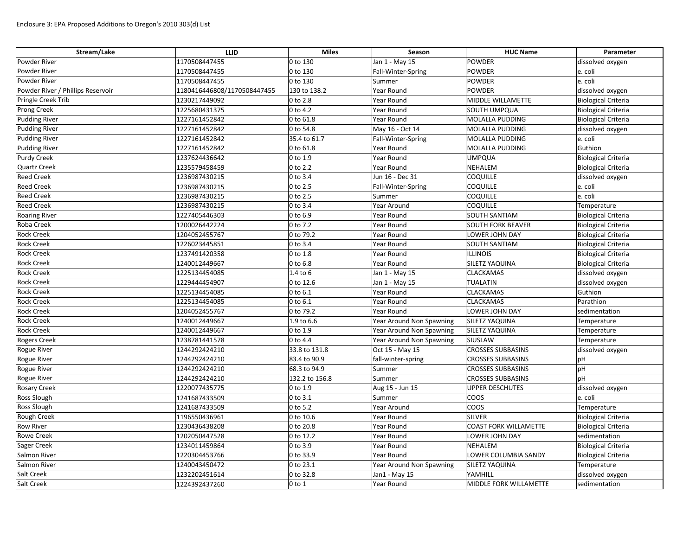| Stream/Lake                       | <b>LLID</b>                 | <b>Miles</b>        | Season                   | <b>HUC Name</b>              | Parameter                  |
|-----------------------------------|-----------------------------|---------------------|--------------------------|------------------------------|----------------------------|
| Powder River                      | 1170508447455               | 0 to 130            | Jan 1 - May 15           | <b>POWDER</b>                | dissolved oxygen           |
| Powder River                      | 1170508447455               | 0 to 130            | Fall-Winter-Spring       | <b>POWDER</b>                | e. coli                    |
| Powder River                      | 1170508447455               | 0 to 130            | Summer                   | <b>POWDER</b>                | e. coli                    |
| Powder River / Phillips Reservoir | 1180416446808/1170508447455 | 130 to 138.2        | Year Round               | <b>POWDER</b>                | dissolved oxygen           |
| Pringle Creek Trib                | 1230217449092               | 0 to 2.8            | Year Round               | MIDDLE WILLAMETTE            | <b>Biological Criteria</b> |
| <b>Prong Creek</b>                | 1225680431375               | 0 to 4.2            | Year Round               | SOUTH UMPQUA                 | <b>Biological Criteria</b> |
| <b>Pudding River</b>              | 1227161452842               | 0 to 61.8           | Year Round               | <b>MOLALLA PUDDING</b>       | <b>Biological Criteria</b> |
| <b>Pudding River</b>              | 1227161452842               | 0 to 54.8           | May 16 - Oct 14          | <b>MOLALLA PUDDING</b>       | dissolved oxygen           |
| <b>Pudding River</b>              | 1227161452842               | 35.4 to 61.7        | Fall-Winter-Spring       | MOLALLA PUDDING              | e. coli                    |
| <b>Pudding River</b>              | 1227161452842               | 0 to 61.8           | Year Round               | <b>MOLALLA PUDDING</b>       | Guthion                    |
| <b>Purdy Creek</b>                | 1237624436642               | 0 to 1.9            | Year Round               | <b>UMPQUA</b>                | <b>Biological Criteria</b> |
| <b>Quartz Creek</b>               | 1235579458459               | 0 to 2.2            | Year Round               | NEHALEM                      | <b>Biological Criteria</b> |
| <b>Reed Creek</b>                 | 1236987430215               | 0 to 3.4            | Jun 16 - Dec 31          | <b>COQUILLE</b>              | dissolved oxygen           |
| <b>Reed Creek</b>                 | 1236987430215               | 0 to 2.5            | Fall-Winter-Spring       | <b>COQUILLE</b>              | e. coli                    |
| <b>Reed Creek</b>                 | 1236987430215               | 0 to 2.5            | Summer                   | <b>COQUILLE</b>              | e. coli                    |
| <b>Reed Creek</b>                 | 1236987430215               | 0 to 3.4            | Year Around              | <b>COQUILLE</b>              | Temperature                |
| <b>Roaring River</b>              | 1227405446303               | 0 to 6.9            | Year Round               | <b>SOUTH SANTIAM</b>         | <b>Biological Criteria</b> |
| Roba Creek                        | 1200026442224               | 0 to 7.2            | Year Round               | <b>SOUTH FORK BEAVER</b>     | <b>Biological Criteria</b> |
| <b>Rock Creek</b>                 | 1204052455767               | 0 to 79.2           | Year Round               | LOWER JOHN DAY               | <b>Biological Criteria</b> |
| <b>Rock Creek</b>                 | 1226023445851               | 0 to 3.4            | Year Round               | <b>SOUTH SANTIAM</b>         | <b>Biological Criteria</b> |
| <b>Rock Creek</b>                 | 1237491420358               | 0 to 1.8            | Year Round               | <b>ILLINOIS</b>              | <b>Biological Criteria</b> |
| <b>Rock Creek</b>                 | 1240012449667               | 0 to 6.8            | Year Round               | SILETZ YAQUINA               | <b>Biological Criteria</b> |
| <b>Rock Creek</b>                 | 1225134454085               | 1.4 to 6            | Jan 1 - May 15           | <b>CLACKAMAS</b>             | dissolved oxygen           |
| <b>Rock Creek</b>                 | 1229444454907               | 0 to 12.6           | Jan 1 - May 15           | <b>TUALATIN</b>              | dissolved oxygen           |
| <b>Rock Creek</b>                 | 1225134454085               | 0 to 6.1            | Year Round               | <b>CLACKAMAS</b>             | Guthion                    |
| <b>Rock Creek</b>                 | 1225134454085               | 0 to 6.1            | Year Round               | <b>CLACKAMAS</b>             | Parathion                  |
| <b>Rock Creek</b>                 | 1204052455767               | 0 to 79.2           | Year Round               | LOWER JOHN DAY               | sedimentation              |
| <b>Rock Creek</b>                 | 1240012449667               | 1.9 to 6.6          | Year Around Non Spawning | SILETZ YAQUINA               | Temperature                |
| <b>Rock Creek</b>                 | 1240012449667               | 0 to 1.9            | Year Around Non Spawning | <b>SILETZ YAQUINA</b>        | Temperature                |
| <b>Rogers Creek</b>               | 1238781441578               | 0 to 4.4            | Year Around Non Spawning | SIUSLAW                      | Temperature                |
| Rogue River                       | 1244292424210               | 33.8 to 131.8       | Oct 15 - May 15          | <b>CROSSES SUBBASINS</b>     | dissolved oxygen           |
| <b>Rogue River</b>                | 1244292424210               | 83.4 to 90.9        | fall-winter-spring       | <b>CROSSES SUBBASINS</b>     | pH                         |
| <b>Rogue River</b>                | 1244292424210               | 68.3 to 94.9        | Summer                   | <b>CROSSES SUBBASINS</b>     | рH                         |
| <b>Rogue River</b>                | 1244292424210               | 132.2 to 156.8      | Summer                   | <b>CROSSES SUBBASINS</b>     | pH                         |
| <b>Rosary Creek</b>               | 1220077435775               | 0 to 1.9            | Aug 15 - Jun 15          | <b>UPPER DESCHUTES</b>       | dissolved oxygen           |
| <b>Ross Slough</b>                | 1241687433509               | 0 to 3.1            | Summer                   | <b>COOS</b>                  | e. coli                    |
| <b>Ross Slough</b>                | 1241687433509               | 0 to 5.2            | Year Around              | <b>COOS</b>                  | Temperature                |
| <b>Rough Creek</b>                | 1196550436961               | 0 to 10.6           | Year Round               | <b>SILVER</b>                | <b>Biological Criteria</b> |
| <b>Row River</b>                  | 1230436438208               | 0 to 20.8           | Year Round               | <b>COAST FORK WILLAMETTE</b> | <b>Biological Criteria</b> |
| <b>Rowe Creek</b>                 | 1202050447528               | 0 to 12.2           | Year Round               | LOWER JOHN DAY               | sedimentation              |
| Sager Creek                       | 1234011459864               | $0$ to 3.9          | Year Round               | NEHALEM                      | <b>Biological Criteria</b> |
| Salmon River                      | 1220304453766               | 0 to 33.9           | Year Round               | LOWER COLUMBIA SANDY         | <b>Biological Criteria</b> |
| Salmon River                      | 1240043450472               | 0 to 23.1           | Year Around Non Spawning | SILETZ YAQUINA               | Temperature                |
| <b>Salt Creek</b>                 | 1232202451614               | 0 to 32.8           | Jan1 - May 15            | YAMHILL                      | dissolved oxygen           |
| <b>Salt Creek</b>                 | 1224392437260               | $ 0 \text{ to } 1 $ | Year Round               | MIDDLE FORK WILLAMETTE       | sedimentation              |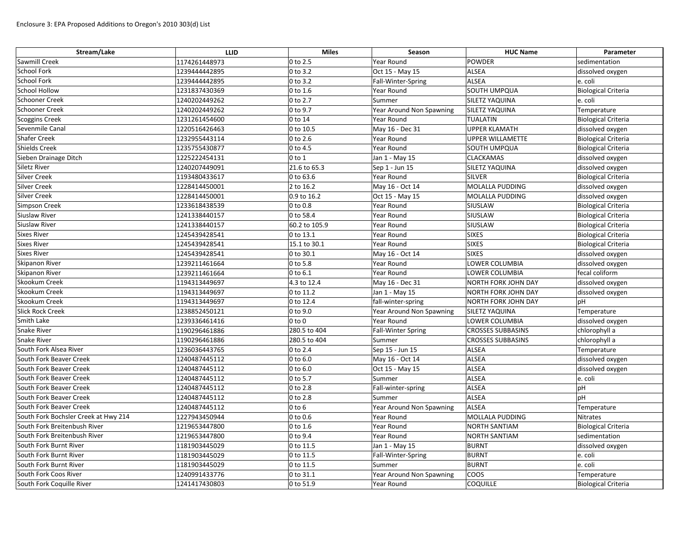| Stream/Lake                          | <b>LLID</b>   | <b>Miles</b>          | Season                    | <b>HUC Name</b>            | Parameter                  |
|--------------------------------------|---------------|-----------------------|---------------------------|----------------------------|----------------------------|
| <b>Sawmill Creek</b>                 | 1174261448973 | 0 to 2.5              | Year Round                | <b>POWDER</b>              | sedimentation              |
| <b>School Fork</b>                   | 1239444442895 | 0 to 3.2              | Oct 15 - May 15           | <b>ALSEA</b>               | dissolved oxygen           |
| <b>School Fork</b>                   | 1239444442895 | $ 0 \text{ to } 3.2$  | Fall-Winter-Spring        | ALSEA                      | e. coli                    |
| <b>School Hollow</b>                 | 1231837430369 | 0 to 1.6              | Year Round                | <b>SOUTH UMPQUA</b>        | <b>Biological Criteria</b> |
| <b>Schooner Creek</b>                | 1240202449262 | 0 to 2.7              | Summer                    | <b>SILETZ YAQUINA</b>      | e. coli                    |
| <b>Schooner Creek</b>                | 1240202449262 | 0 to 9.7              | Year Around Non Spawning  | <b>SILETZ YAQUINA</b>      | Temperature                |
| <b>Scoggins Creek</b>                | 1231261454600 | 0 to 14               | Year Round                | <b>TUALATIN</b>            | <b>Biological Criteria</b> |
| Sevenmile Canal                      | 1220516426463 | 0 to 10.5             | May 16 - Dec 31           | <b>UPPER KLAMATH</b>       | dissolved oxygen           |
| <b>Shafer Creek</b>                  | 1232955443114 | 0 to 2.6              | Year Round                | UPPER WILLAMETTE           | <b>Biological Criteria</b> |
| <b>Shields Creek</b>                 | 1235755430877 | 0 to 4.5              | Year Round                | SOUTH UMPQUA               | <b>Biological Criteria</b> |
| Sieben Drainage Ditch                | 1225222454131 | $0$ to $1$            | Jan 1 - May 15            | <b>CLACKAMAS</b>           | dissolved oxygen           |
| <b>Siletz River</b>                  | 1240207449091 | 21.6 to 65.3          | Sep 1 - Jun 15            | <b>SILETZ YAQUINA</b>      | dissolved oxygen           |
| <b>Silver Creek</b>                  | 1193480433617 | 0 to 63.6             | Year Round                | SILVER                     | <b>Biological Criteria</b> |
| <b>Silver Creek</b>                  | 1228414450001 | 2 to 16.2             | May 16 - Oct 14           | MOLALLA PUDDING            | dissolved oxygen           |
| <b>Silver Creek</b>                  | 1228414450001 | 0.9 to 16.2           | Oct 15 - May 15           | MOLALLA PUDDING            | dissolved oxygen           |
| <b>Simpson Creek</b>                 | 1233618438539 | 0 to 0.8              | Year Round                | SIUSLAW                    | <b>Biological Criteria</b> |
| <b>Siuslaw River</b>                 | 1241338440157 | 0 to 58.4             | Year Round                | SIUSLAW                    | <b>Biological Criteria</b> |
| <b>Siuslaw River</b>                 | 1241338440157 | 60.2 to 105.9         | Year Round                | SIUSLAW                    | <b>Biological Criteria</b> |
| <b>Sixes River</b>                   | 1245439428541 | 0 to 13.1             | Year Round                | <b>SIXES</b>               | <b>Biological Criteria</b> |
| <b>Sixes River</b>                   | 1245439428541 | 15.1 to 30.1          | Year Round                | <b>SIXES</b>               | <b>Biological Criteria</b> |
| <b>Sixes River</b>                   | 1245439428541 | 0 to 30.1             | May 16 - Oct 14           | <b>SIXES</b>               | dissolved oxygen           |
| <b>Skipanon River</b>                | 1239211461664 | 0 to 5.8              | Year Round                | LOWER COLUMBIA             | dissolved oxygen           |
| <b>Skipanon River</b>                | 1239211461664 | 0 to 6.1              | Year Round                | LOWER COLUMBIA             | fecal coliform             |
| <b>Skookum Creek</b>                 | 1194313449697 | 4.3 to 12.4           | May 16 - Dec 31           | <b>NORTH FORK JOHN DAY</b> | dissolved oxygen           |
| <b>Skookum Creek</b>                 | 1194313449697 | 0 to 11.2             | Jan 1 - May 15            | <b>NORTH FORK JOHN DAY</b> | dissolved oxygen           |
| <b>Skookum Creek</b>                 | 1194313449697 | 0 to 12.4             | fall-winter-spring        | <b>NORTH FORK JOHN DAY</b> | pH                         |
| <b>Slick Rock Creek</b>              | 1238852450121 | 0 to 9.0              | Year Around Non Spawning  | <b>SILETZ YAQUINA</b>      | Temperature                |
| <b>Smith Lake</b>                    | 1239336461416 | $0$ to $0$            | Year Round                | LOWER COLUMBIA             | dissolved oxygen           |
| <b>Snake River</b>                   | 1190296461886 | 280.5 to 404          | <b>Fall-Winter Spring</b> | <b>CROSSES SUBBASINS</b>   | chlorophyll a              |
| <b>Snake River</b>                   | 1190296461886 | 280.5 to 404          | Summer                    | <b>CROSSES SUBBASINS</b>   | chlorophyll a              |
| South Fork Alsea River               | 1236036443765 | 0 to 2.4              | Sep 15 - Jun 15           | ALSEA                      | Temperature                |
| South Fork Beaver Creek              | 1240487445112 | 0 to 6.0              | May 16 - Oct 14           | <b>ALSEA</b>               | dissolved oxygen           |
| South Fork Beaver Creek              | 1240487445112 | 0 to 6.0              | Oct 15 - May 15           | <b>ALSEA</b>               | dissolved oxygen           |
| South Fork Beaver Creek              | 1240487445112 | 0 to 5.7              | Summer                    | <b>ALSEA</b>               | e. coli                    |
| South Fork Beaver Creek              | 1240487445112 | 0 to 2.8              | Fall-winter-spring        | <b>ALSEA</b>               | pH                         |
| South Fork Beaver Creek              | 1240487445112 | $ 0 \text{ to } 2.8$  | Summer                    | ALSEA                      | pH                         |
| South Fork Beaver Creek              | 1240487445112 | $0$ to $6$            | Year Around Non Spawning  | <b>ALSEA</b>               | Temperature                |
| South Fork Bochsler Creek at Hwy 214 | 1227943450944 | 0 to 0.6              | Year Round                | MOLLALA PUDDING            | Nitrates                   |
| South Fork Breitenbush River         | 1219653447800 | 0 to 1.6              | Year Round                | <b>NORTH SANTIAM</b>       | <b>Biological Criteria</b> |
| South Fork Breitenbush River         | 1219653447800 | 0 to 9.4              | Year Round                | <b>NORTH SANTIAM</b>       | sedimentation              |
| South Fork Burnt River               | 1181903445029 | 0 to 11.5             | Jan 1 - May 15            | <b>BURNT</b>               | dissolved oxygen           |
| South Fork Burnt River               | 1181903445029 | 0 to 11.5             | Fall-Winter-Spring        | <b>BURNT</b>               | e. coli                    |
| South Fork Burnt River               | 1181903445029 | 0 to 11.5             | Summer                    | <b>BURNT</b>               | e. coli                    |
| South Fork Coos River                | 1240991433776 | 0 to 31.1             | Year Around Non Spawning  | <b>COOS</b>                | Temperature                |
| South Fork Coquille River            | 1241417430803 | $ 0 \text{ to } 51.9$ | Year Round                | <b>COQUILLE</b>            | <b>Biological Criteria</b> |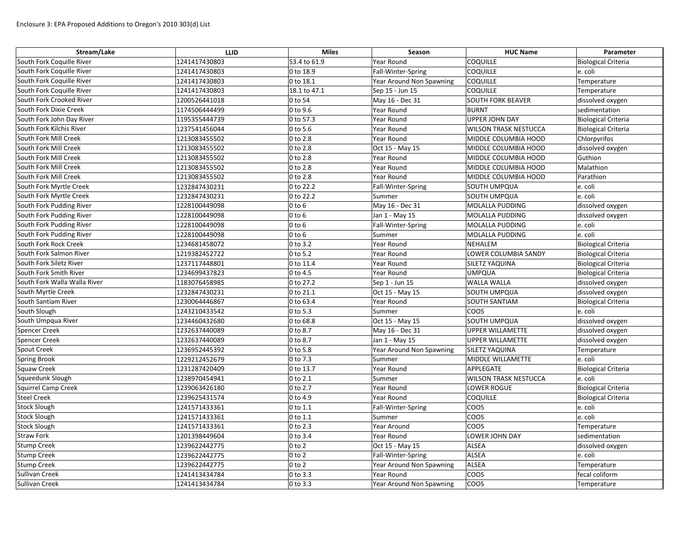| Stream/Lake                  | <b>LLID</b>   | <b>Miles</b>         | Season                   | <b>HUC Name</b>              | Parameter                  |
|------------------------------|---------------|----------------------|--------------------------|------------------------------|----------------------------|
| South Fork Coquille River    | 1241417430803 | 53.4 to 61.9         | Year Round               | <b>COQUILLE</b>              | <b>Biological Criteria</b> |
| South Fork Coquille River    | 1241417430803 | 0 to 18.9            | Fall-Winter-Spring       | <b>COQUILLE</b>              | e. coli                    |
| South Fork Coquille River    | 1241417430803 | 0 to 18.1            | Year Around Non Spawning | <b>COQUILLE</b>              | Temperature                |
| South Fork Coquille River    | 1241417430803 | 18.1 to 47.1         | Sep 15 - Jun 15          | <b>COQUILLE</b>              | Temperature                |
| South Fork Crooked River     | 1200526441018 | 0 to 54              | May 16 - Dec 31          | <b>SOUTH FORK BEAVER</b>     | dissolved oxygen           |
| South Fork Dixie Creek       | 1174506444499 | 0 to 9.6             | Year Round               | <b>BURNT</b>                 | sedimentation              |
| South Fork John Day River    | 1195355444739 | 0 to 57.3            | Year Round               | <b>UPPER JOHN DAY</b>        | <b>Biological Criteria</b> |
| South Fork Kilchis River     | 1237541456044 | $ 0 \text{ to } 5.6$ | Year Round               | <b>WILSON TRASK NESTUCCA</b> | <b>Biological Criteria</b> |
| South Fork Mill Creek        | 1213083455502 | 0 to 2.8             | Year Round               | MIDDLE COLUMBIA HOOD         | Chlorpyrifos               |
| South Fork Mill Creek        | 1213083455502 | 0 to 2.8             | Oct 15 - May 15          | MIDDLE COLUMBIA HOOD         | dissolved oxygen           |
| South Fork Mill Creek        | 1213083455502 | 0 to 2.8             | Year Round               | MIDDLE COLUMBIA HOOD         | Guthion                    |
| South Fork Mill Creek        | 1213083455502 | 0 to 2.8             | Year Round               | MIDDLE COLUMBIA HOOD         | Malathion                  |
| South Fork Mill Creek        | 1213083455502 | 0 to 2.8             | Year Round               | MIDDLE COLUMBIA HOOD         | Parathion                  |
| South Fork Myrtle Creek      | 1232847430231 | 0 to 22.2            | Fall-Winter-Spring       | <b>SOUTH UMPQUA</b>          | e. coli                    |
| South Fork Myrtle Creek      | 1232847430231 | 0 to 22.2            | Summer                   | <b>SOUTH UMPQUA</b>          | e. coli                    |
| South Fork Pudding River     | 1228100449098 | $0$ to $6$           | May 16 - Dec 31          | MOLALLA PUDDING              | dissolved oxygen           |
| South Fork Pudding River     | 1228100449098 | $0$ to $6$           | Jan 1 - May 15           | <b>MOLALLA PUDDING</b>       | dissolved oxygen           |
| South Fork Pudding River     | 1228100449098 | $0$ to $6$           | Fall-Winter-Spring       | MOLALLA PUDDING              | e. coli                    |
| South Fork Pudding River     | 1228100449098 | $0$ to $6$           | Summer                   | MOLALLA PUDDING              | e. coli                    |
| South Fork Rock Creek        | 1234681458072 | 0 to 3.2             | Year Round               | NEHALEM                      | Biological Criteria        |
| South Fork Salmon River      | 1219382452722 | 0 to 5.2             | Year Round               | LOWER COLUMBIA SANDY         | <b>Biological Criteria</b> |
| South Fork Siletz River      | 1237117448801 | 0 to 11.4            | Year Round               | <b>SILETZ YAQUINA</b>        | <b>Biological Criteria</b> |
| South Fork Smith River       | 1234699437823 | 0 to 4.5             | Year Round               | <b>UMPQUA</b>                | <b>Biological Criteria</b> |
| South Fork Walla Walla River | 1183076458985 | 0 to 27.2            | Sep 1 - Jun 15           | <b>WALLA WALLA</b>           | dissolved oxygen           |
| South Myrtle Creek           | 1232847430231 | 0 to 21.1            | Oct 15 - May 15          | <b>SOUTH UMPQUA</b>          | dissolved oxygen           |
| South Santiam River          | 1230064446867 | 0 to 63.4            | Year Round               | <b>SOUTH SANTIAM</b>         | <b>Biological Criteria</b> |
| South Slough                 | 1243210433542 | 0 to 5.3             | Summer                   | <b>COOS</b>                  | e. coli                    |
| South Umpqua River           | 1234460432680 | 0 to 68.8            | Oct 15 - May 15          | <b>SOUTH UMPQUA</b>          | dissolved oxygen           |
| <b>Spencer Creek</b>         | 1232637440089 | 0 to 8.7             | May 16 - Dec 31          | <b>UPPER WILLAMETTE</b>      | dissolved oxygen           |
| <b>Spencer Creek</b>         | 1232637440089 | 0 to 8.7             | Jan 1 - May 15           | UPPER WILLAMETTE             | dissolved oxygen           |
| <b>Spout Creek</b>           | 1236952445392 | 0 to 5.8             | Year Around Non Spawning | <b>SILETZ YAQUINA</b>        | Temperature                |
| <b>Spring Brook</b>          | 1229212452679 | 0 to 7.3             | Summer                   | MIDDLE WILLAMETTE            | e. coli                    |
| <b>Squaw Creek</b>           | 1231287420409 | 0 to 13.7            | Year Round               | APPLEGATE                    | <b>Biological Criteria</b> |
| Squeedunk Slough             | 1238970454941 | 0 to $2.1$           | Summer                   | <b>WILSON TRASK NESTUCCA</b> | e. coli                    |
| Squirrel Camp Creek          | 1239063426180 | 0 to 2.7             | Year Round               | LOWER ROGUE                  | <b>Biological Criteria</b> |
| <b>Steel Creek</b>           | 1239625431574 | 0 to 4.9             | Year Round               | <b>COQUILLE</b>              | <b>Biological Criteria</b> |
| <b>Stock Slough</b>          | 1241571433361 | 0 to 1.1             | Fall-Winter-Spring       | <b>COOS</b>                  | e. coli                    |
| <b>Stock Slough</b>          | 1241571433361 | 0 to 1.1             | Summer                   | <b>COOS</b>                  | e. coli                    |
| <b>Stock Slough</b>          | 1241571433361 | $0$ to $2.3$         | Year Around              | <b>COOS</b>                  | Temperature                |
| <b>Straw Fork</b>            | 1201398449604 | 0 to 3.4             | Year Round               | LOWER JOHN DAY               | sedimentation              |
| <b>Stump Creek</b>           | 1239622442775 | $0$ to $2$           | Oct 15 - May 15          | <b>ALSEA</b>                 | dissolved oxygen           |
| <b>Stump Creek</b>           | 1239622442775 | $0$ to $2$           | Fall-Winter-Spring       | <b>ALSEA</b>                 | e. coli                    |
| <b>Stump Creek</b>           | 1239622442775 | $0$ to $2$           | Year Around Non Spawning | <b>ALSEA</b>                 | Temperature                |
| <b>Sullivan Creek</b>        | 1241413434784 | 0 to 3.3             | Year Round               | coos                         | fecal coliform             |
| <b>Sullivan Creek</b>        | 1241413434784 | 0 to 3.3             | Year Around Non Spawning | <b>COOS</b>                  | Temperature                |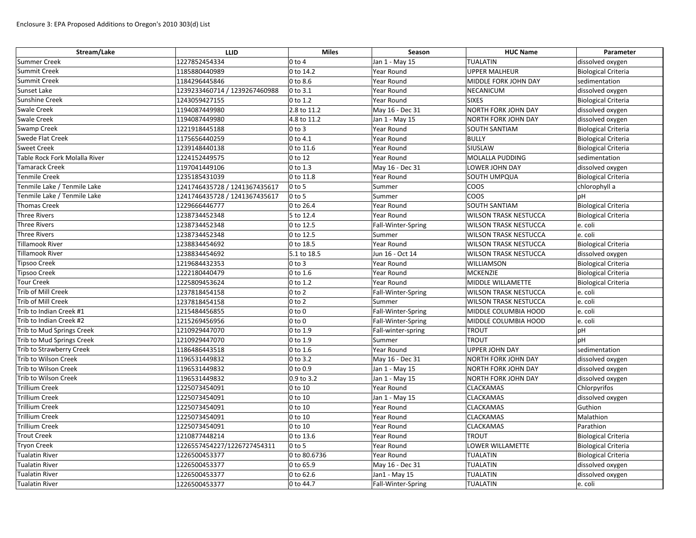| Stream/Lake                   | <b>LLID</b>                   | <b>Miles</b>        | Season             | <b>HUC Name</b>              | Parameter                  |
|-------------------------------|-------------------------------|---------------------|--------------------|------------------------------|----------------------------|
| <b>Summer Creek</b>           | 1227852454334                 | $0$ to $4$          | Jan 1 - May 15     | <b>TUALATIN</b>              | dissolved oxygen           |
| Summit Creek                  | 1185880440989                 | 0 to 14.2           | Year Round         | <b>UPPER MALHEUR</b>         | <b>Biological Criteria</b> |
| <b>Summit Creek</b>           | 1184296445846                 | $0$ to 8.6          | Year Round         | MIDDLE FORK JOHN DAY         | sedimentation              |
| Sunset Lake                   | 1239233460714 / 1239267460988 | 0 to 3.1            | Year Round         | <b>NECANICUM</b>             | dissolved oxygen           |
| Sunshine Creek                | 1243059427155                 | 0 to 1.2            | Year Round         | <b>SIXES</b>                 | <b>Biological Criteria</b> |
| <b>Swale Creek</b>            | 1194087449980                 | 2.8 to 11.2         | May 16 - Dec 31    | <b>NORTH FORK JOHN DAY</b>   | dissolved oxygen           |
| <b>Swale Creek</b>            | 1194087449980                 | 4.8 to 11.2         | Jan 1 - May 15     | NORTH FORK JOHN DAY          | dissolved oxygen           |
| <b>Swamp Creek</b>            | 1221918445188                 | $ 0 \text{ to } 3$  | <b>Year Round</b>  | <b>SOUTH SANTIAM</b>         | <b>Biological Criteria</b> |
| <b>Swede Flat Creek</b>       | 1175656440259                 | 0 to 4.1            | Year Round         | <b>BULLY</b>                 | <b>Biological Criteria</b> |
| <b>Sweet Creek</b>            | 1239148440138                 | 0 to 11.6           | Year Round         | SIUSLAW                      | <b>Biological Criteria</b> |
| Table Rock Fork Molalla River | 1224152449575                 | 0 to 12             | Year Round         | <b>MOLALLA PUDDING</b>       | sedimentation              |
| Tamarack Creek                | 1197041449106                 | 0 to 1.3            | May 16 - Dec 31    | LOWER JOHN DAY               | dissolved oxygen           |
| Tenmile Creek                 | 1235185431039                 | 0 to 11.8           | Year Round         | <b>SOUTH UMPQUA</b>          | <b>Biological Criteria</b> |
| Tenmile Lake / Tenmile Lake   | 1241746435728 / 1241367435617 | $0$ to 5            | Summer             | <b>COOS</b>                  | chlorophyll a              |
| Tenmile Lake / Tenmile Lake   | 1241746435728 / 1241367435617 | $0$ to 5            | Summer             | coos                         | pH                         |
| Thomas Creek                  | 1229666446777                 | 0 to 26.4           | Year Round         | <b>SOUTH SANTIAM</b>         | <b>Biological Criteria</b> |
| Three Rivers                  | 1238734452348                 | 5 to 12.4           | Year Round         | <b>WILSON TRASK NESTUCCA</b> | <b>Biological Criteria</b> |
| Three Rivers                  | 1238734452348                 | 0 to 12.5           | Fall-Winter-Spring | <b>WILSON TRASK NESTUCCA</b> | e. coli                    |
| Three Rivers                  | 1238734452348                 | 0 to 12.5           | Summer             | <b>WILSON TRASK NESTUCCA</b> | e. coli                    |
| Tillamook River               | 1238834454692                 | 0 to 18.5           | Year Round         | <b>WILSON TRASK NESTUCCA</b> | <b>Biological Criteria</b> |
| Tillamook River               | 1238834454692                 | 5.1 to 18.5         | Jun 16 - Oct 14    | <b>WILSON TRASK NESTUCCA</b> | dissolved oxygen           |
| <b>Tipsoo Creek</b>           | 1219684432353                 | $ 0 \text{ to } 3$  | Year Round         | <b>WILLIAMSON</b>            | <b>Biological Criteria</b> |
| <b>Tipsoo Creek</b>           | 1222180440479                 | 0 to 1.6            | Year Round         | MCKENZIE                     | <b>Biological Criteria</b> |
| <b>Tour Creek</b>             | 1225809453624                 | 0 to 1.2            | Year Round         | MIDDLE WILLAMETTE            | <b>Biological Criteria</b> |
| Trib of Mill Creek            | 1237818454158                 | $0$ to $2$          | Fall-Winter-Spring | <b>WILSON TRASK NESTUCCA</b> | e. coli                    |
| Trib of Mill Creek            | 1237818454158                 | $0$ to $2$          | Summer             | <b>WILSON TRASK NESTUCCA</b> | e. coli                    |
| Trib to Indian Creek #1       | 1215484456855                 | $0$ to $0$          | Fall-Winter-Spring | MIDDLE COLUMBIA HOOD         | e. coli                    |
| Trib to Indian Creek #2       | 1215269456956                 | $0$ to $0$          | Fall-Winter-Spring | MIDDLE COLUMBIA HOOD         | e. coli                    |
| Trib to Mud Springs Creek     | 1210929447070                 | 0 to 1.9            | Fall-winter-spring | <b>TROUT</b>                 | pH                         |
| Trib to Mud Springs Creek     | 1210929447070                 | 0 to 1.9            | Summer             | <b>TROUT</b>                 | pH                         |
| Trib to Strawberry Creek      | 1186486443518                 | 0 to 1.6            | Year Round         | <b>UPPER JOHN DAY</b>        | sedimentation              |
| Trib to Wilson Creek          | 1196531449832                 | $0$ to 3.2          | May 16 - Dec 31    | <b>NORTH FORK JOHN DAY</b>   | dissolved oxygen           |
| Trib to Wilson Creek          | 1196531449832                 | 0 to 0.9            | Jan 1 - May 15     | <b>NORTH FORK JOHN DAY</b>   | dissolved oxygen           |
| Trib to Wilson Creek          | 1196531449832                 | 0.9 to 3.2          | Jan 1 - May 15     | <b>NORTH FORK JOHN DAY</b>   | dissolved oxygen           |
| <b>Trillium Creek</b>         | 1225073454091                 | 0 to 10             | Year Round         | <b>CLACKAMAS</b>             | Chlorpyrifos               |
| <b>Trillium Creek</b>         | 1225073454091                 | $ 0 \text{ to } 10$ | Jan 1 - May 15     | <b>CLACKAMAS</b>             | dissolved oxygen           |
| <b>Trillium Creek</b>         | 1225073454091                 | 0 to 10             | Year Round         | <b>CLACKAMAS</b>             | Guthion                    |
| <b>Trillium Creek</b>         | 1225073454091                 | 0 to 10             | Year Round         | <b>CLACKAMAS</b>             | Malathion                  |
| <b>Trillium Creek</b>         | 1225073454091                 | 0 to 10             | Year Round         | <b>CLACKAMAS</b>             | Parathion                  |
| <b>Trout Creek</b>            | 1210877448214                 | 0 to 13.6           | Year Round         | <b>TROUT</b>                 | <b>Biological Criteria</b> |
| <b>Tryon Creek</b>            | 1226557454227/1226727454311   | $0$ to 5            | Year Round         | LOWER WILLAMETTE             | <b>Biological Criteria</b> |
| <b>Tualatin River</b>         | 1226500453377                 | 0 to 80.6736        | Year Round         | <b>TUALATIN</b>              | <b>Biological Criteria</b> |
| <b>Tualatin River</b>         | 1226500453377                 | 0 to 65.9           | May 16 - Dec 31    | <b>TUALATIN</b>              | dissolved oxygen           |
| Tualatin River                | 1226500453377                 | 0 to 62.6           | Jan1 - May 15      | <b>TUALATIN</b>              | dissolved oxygen           |
| <b>Tualatin River</b>         | 1226500453377                 | 0 to 44.7           | Fall-Winter-Spring | <b>TUALATIN</b>              | e. coli                    |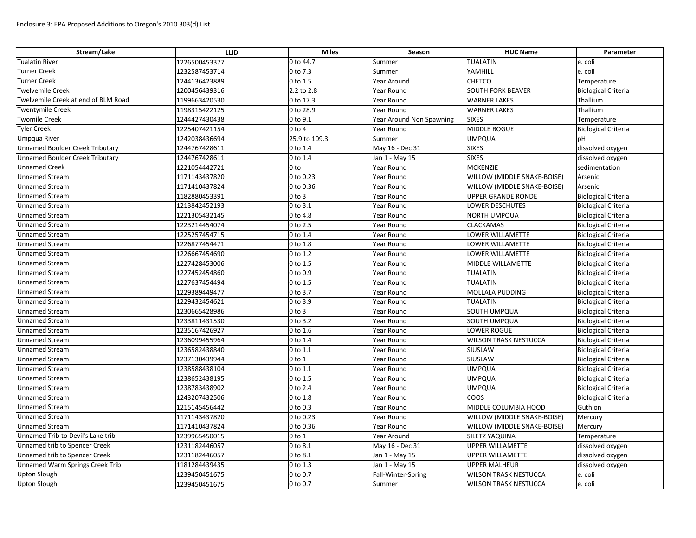| Stream/Lake                            | <b>LLID</b>   | <b>Miles</b>          | Season                   | <b>HUC Name</b>              | Parameter                  |
|----------------------------------------|---------------|-----------------------|--------------------------|------------------------------|----------------------------|
| Tualatin River                         | 1226500453377 | 0 to 44.7             | Summer                   | <b>TUALATIN</b>              | e. coli                    |
| Turner Creek                           | 1232587453714 | 0 to 7.3              | Summer                   | YAMHILL                      | e. coli                    |
| Turner Creek                           | 1244136423889 | $ 0 \text{ to } 1.5$  | Year Around              | <b>CHETCO</b>                | Temperature                |
| Twelvemile Creek                       | 1200456439316 | 2.2 to 2.8            | Year Round               | <b>SOUTH FORK BEAVER</b>     | <b>Biological Criteria</b> |
| Twelvemile Creek at end of BLM Road    | 1199663420530 | 0 to 17.3             | Year Round               | <b>WARNER LAKES</b>          | Thallium                   |
| Twentymile Creek                       | 1198315422125 | 0 to 28.9             | Year Round               | <b>WARNER LAKES</b>          | Thallium                   |
| <b>Twomile Creek</b>                   | 1244427430438 | $ 0 \text{ to } 9.1$  | Year Around Non Spawning | <b>SIXES</b>                 | Temperature                |
| <b>Tyler Creek</b>                     | 1225407421154 | $ 0 \text{ to } 4$    | Year Round               | MIDDLE ROGUE                 | <b>Biological Criteria</b> |
| Umpqua River                           | 1242038436694 | 25.9 to 109.3         | Summer                   | <b>UMPQUA</b>                | рH                         |
| <b>Unnamed Boulder Creek Tributary</b> | 1244767428611 | $ 0 \text{ to } 1.4$  | May 16 - Dec 31          | <b>SIXES</b>                 | dissolved oxygen           |
| <b>Unnamed Boulder Creek Tributary</b> | 1244767428611 | $ 0 \text{ to } 1.4$  | Jan 1 - May 15           | <b>SIXES</b>                 | dissolved oxygen           |
| <b>Unnamed Creek</b>                   | 1221054442721 | $ 0 \text{ to }$      | Year Round               | <b>MCKENZIE</b>              | sedimentation              |
| <b>Unnamed Stream</b>                  | 1171143437820 | 0 to 0.23             | Year Round               | WILLOW (MIDDLE SNAKE-BOISE)  | Arsenic                    |
| <b>Unnamed Stream</b>                  | 1171410437824 | 0 to 0.36             | Year Round               | WILLOW (MIDDLE SNAKE-BOISE)  | Arsenic                    |
| <b>Unnamed Stream</b>                  | 1182880453391 | $ 0 \text{ to } 3$    | Year Round               | <b>UPPER GRANDE RONDE</b>    | <b>Biological Criteria</b> |
| <b>Unnamed Stream</b>                  | 1213842452193 | $ 0 \text{ to } 3.1$  | Year Round               | <b>LOWER DESCHUTES</b>       | <b>Biological Criteria</b> |
| <b>Unnamed Stream</b>                  | 1221305432145 | $0$ to 4.8            | Year Round               | <b>NORTH UMPQUA</b>          | <b>Biological Criteria</b> |
| <b>Unnamed Stream</b>                  | 1223214454074 | $ 0 \text{ to } 2.5$  | <b>Year Round</b>        | <b>CLACKAMAS</b>             | <b>Biological Criteria</b> |
| <b>Unnamed Stream</b>                  | 1225257454715 | $ 0 \text{ to } 1.4$  | Year Round               | <b>LOWER WILLAMETTE</b>      | <b>Biological Criteria</b> |
| <b>Unnamed Stream</b>                  | 1226877454471 | $ 0 \text{ to } 1.8$  | Year Round               | LOWER WILLAMETTE             | <b>Biological Criteria</b> |
| <b>Unnamed Stream</b>                  | 1226667454690 | 0 to 1.2              | Year Round               | LOWER WILLAMETTE             | <b>Biological Criteria</b> |
| <b>Unnamed Stream</b>                  | 1227428453006 | $ 0 \text{ to } 1.5$  | Year Round               | MIDDLE WILLAMETTE            | <b>Biological Criteria</b> |
| <b>Unnamed Stream</b>                  | 1227452454860 | $ 0 \text{ to } 0.9$  | Year Round               | <b>TUALATIN</b>              | <b>Biological Criteria</b> |
| <b>Unnamed Stream</b>                  | 1227637454494 | $ 0 \text{ to } 1.5$  | Year Round               | <b>TUALATIN</b>              | <b>Biological Criteria</b> |
| <b>Unnamed Stream</b>                  | 1229389449477 | $ 0 \text{ to } 3.7$  | Year Round               | <b>MOLLALA PUDDING</b>       | <b>Biological Criteria</b> |
| <b>Unnamed Stream</b>                  | 1229432454621 | 0 to 3.9              | Year Round               | <b>TUALATIN</b>              | <b>Biological Criteria</b> |
| <b>Unnamed Stream</b>                  | 1230665428986 | $0$ to 3              | Year Round               | SOUTH UMPQUA                 | <b>Biological Criteria</b> |
| <b>Unnamed Stream</b>                  | 1233811431530 | 0 to 3.2              | Year Round               | SOUTH UMPQUA                 | <b>Biological Criteria</b> |
| <b>Unnamed Stream</b>                  | 1235167426927 | $0$ to 1.6            | Year Round               | <b>LOWER ROGUE</b>           | <b>Biological Criteria</b> |
| <b>Unnamed Stream</b>                  | 1236099455964 | $ 0 \text{ to } 1.4$  | Year Round               | <b>WILSON TRASK NESTUCCA</b> | <b>Biological Criteria</b> |
| <b>Unnamed Stream</b>                  | 1236582438840 | 0 to 1.1              | Year Round               | SIUSLAW                      | <b>Biological Criteria</b> |
| <b>Unnamed Stream</b>                  | 1237130439944 | $ 0 \text{ to } 1$    | Year Round               | SIUSLAW                      | <b>Biological Criteria</b> |
| <b>Unnamed Stream</b>                  | 1238588438104 | $ 0 \text{ to } 1.1$  | Year Round               | <b>UMPQUA</b>                | <b>Biological Criteria</b> |
| <b>Unnamed Stream</b>                  | 1238652438195 | $ 0 \text{ to } 1.5$  | Year Round               | <b>UMPQUA</b>                | <b>Biological Criteria</b> |
| <b>Unnamed Stream</b>                  | 1238783438902 | $ 0 \text{ to } 2.4$  | Year Round               | <b>UMPQUA</b>                | <b>Biological Criteria</b> |
| <b>Unnamed Stream</b>                  | 1243207432506 | $0$ to 1.8            | Year Round               | <b>COOS</b>                  | <b>Biological Criteria</b> |
| <b>Unnamed Stream</b>                  | 1215145456442 | $ 0 \text{ to } 0.3 $ | Year Round               | MIDDLE COLUMBIA HOOD         | Guthion                    |
| <b>Unnamed Stream</b>                  | 1171143437820 | 0 to 0.23             | Year Round               | WILLOW (MIDDLE SNAKE-BOISE)  | Mercury                    |
| <b>Unnamed Stream</b>                  | 1171410437824 | 0 to 0.36             | Year Round               | WILLOW (MIDDLE SNAKE-BOISE)  | Mercury                    |
| Unnamed Trib to Devil's Lake trib      | 1239965450015 | $ 0 \text{ to } 1$    | Year Around              | SILETZ YAQUINA               | Temperature                |
| Unnamed trib to Spencer Creek          | 1231182446057 | $ 0 \text{ to } 8.1$  | May 16 - Dec 31          | UPPER WILLAMETTE             | dissolved oxygen           |
| Unnamed trib to Spencer Creek          | 1231182446057 | 0 to 8.1              | Jan 1 - May 15           | <b>UPPER WILLAMETTE</b>      | dissolved oxygen           |
| Unnamed Warm Springs Creek Trib        | 1181284439435 | $ 0 \text{ to } 1.3$  | Jan 1 - May 15           | <b>UPPER MALHEUR</b>         | dissolved oxygen           |
| <b>Upton Slough</b>                    | 1239450451675 | $ 0 \text{ to } 0.7$  | Fall-Winter-Spring       | <b>WILSON TRASK NESTUCCA</b> | e. coli                    |
| <b>Upton Slough</b>                    | 1239450451675 | $ 0 \text{ to } 0.7$  | Summer                   | <b>WILSON TRASK NESTUCCA</b> | e. coli                    |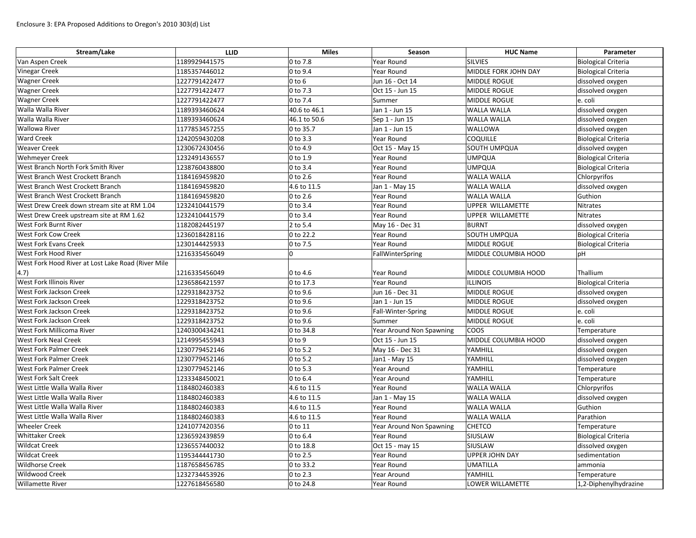| Stream/Lake                                        | <b>LLID</b>   | <b>Miles</b>        | Season                          | <b>HUC Name</b>       | Parameter                  |
|----------------------------------------------------|---------------|---------------------|---------------------------------|-----------------------|----------------------------|
| Van Aspen Creek                                    | 1189929441575 | 0 to 7.8            | Year Round                      | SILVIES               | <b>Biological Criteria</b> |
| <b>Vinegar Creek</b>                               | 1185357446012 | 0 to 9.4            | Year Round                      | MIDDLE FORK JOHN DAY  | <b>Biological Criteria</b> |
| <b>Wagner Creek</b>                                | 1227791422477 | $0$ to $6$          | Jun 16 - Oct 14                 | MIDDLE ROGUE          | dissolved oxygen           |
| <b>Wagner Creek</b>                                | 1227791422477 | 0 to 7.3            | Oct 15 - Jun 15                 | <b>MIDDLE ROGUE</b>   | dissolved oxygen           |
| <b>Wagner Creek</b>                                | 1227791422477 | 0 to 7.4            | Summer                          | MIDDLE ROGUE          | e. coli                    |
| Walla Walla River                                  | 1189393460624 | 40.6 to 46.1        | Jan 1 - Jun 15                  | <b>WALLA WALLA</b>    | dissolved oxygen           |
| Walla Walla River                                  | 1189393460624 | 46.1 to 50.6        | Sep 1 - Jun 15                  | <b>WALLA WALLA</b>    | dissolved oxygen           |
| <b>Wallowa River</b>                               | 1177853457255 | 0 to 35.7           | Jan 1 - Jun 15                  | <b>WALLOWA</b>        | dissolved oxygen           |
| <b>Ward Creek</b>                                  | 1242059430208 | 0 to 3.3            | Year Round                      | <b>COQUILLE</b>       | <b>Biological Criteria</b> |
| <b>Weaver Creek</b>                                | 1230672430456 | 0 to 4.9            | Oct 15 - May 15                 | <b>SOUTH UMPQUA</b>   | dissolved oxygen           |
| <b>Wehmeyer Creek</b>                              | 1232491436557 | 0 to 1.9            | Year Round                      | <b>UMPQUA</b>         | <b>Biological Criteria</b> |
| West Branch North Fork Smith River                 | 1238760438800 | 0 to 3.4            | Year Round                      | <b>UMPQUA</b>         | <b>Biological Criteria</b> |
| West Branch West Crockett Branch                   | 1184169459820 | 0 to 2.6            | Year Round                      | <b>WALLA WALLA</b>    | Chlorpyrifos               |
| West Branch West Crockett Branch                   | 1184169459820 | 4.6 to 11.5         | Jan 1 - May 15                  | <b>WALLA WALLA</b>    | dissolved oxygen           |
| <b>West Branch West Crockett Branch</b>            | 1184169459820 | 0 to 2.6            | Year Round                      | <b>WALLA WALLA</b>    | Guthion                    |
| West Drew Creek down stream site at RM 1.04        | 1232410441579 | 0 to 3.4            | Year Round                      | UPPER WILLAMETTE      | <b>Nitrates</b>            |
| West Drew Creek upstream site at RM 1.62           | 1232410441579 | 0 to 3.4            | <b>Year Round</b>               | UPPER WILLAMETTE      | <b>Nitrates</b>            |
| <b>West Fork Burnt River</b>                       | 1182082445197 | 2 to 5.4            | May 16 - Dec 31                 | <b>BURNT</b>          | dissolved oxygen           |
| <b>West Fork Cow Creek</b>                         | 1236018428116 | 0 to 22.2           | Year Round                      | SOUTH UMPQUA          | <b>Biological Criteria</b> |
| <b>West Fork Evans Creek</b>                       | 1230144425933 | 0 to 7.5            | Year Round                      | <b>MIDDLE ROGUE</b>   | <b>Biological Criteria</b> |
| West Fork Hood River                               | 1216335456049 |                     | FallWinterSpring                | MIDDLE COLUMBIA HOOD  | pH                         |
| West Fork Hood River at Lost Lake Road (River Mile |               |                     |                                 |                       |                            |
| (4.7)                                              | 1216335456049 | 0 to 4.6            | Year Round                      | MIDDLE COLUMBIA HOOD  | Thallium                   |
| <b>West Fork Illinois River</b>                    | 1236586421597 | 0 to 17.3           | Year Round                      | <b>ILLINOIS</b>       | <b>Biological Criteria</b> |
| <b>West Fork Jackson Creek</b>                     | 1229318423752 | 0 to 9.6            | Jun 16 - Dec 31                 | <b>MIDDLE ROGUE</b>   | dissolved oxygen           |
| <b>West Fork Jackson Creek</b>                     | 1229318423752 | 0 to 9.6            | Jan 1 - Jun 15                  | MIDDLE ROGUE          | dissolved oxygen           |
| <b>West Fork Jackson Creek</b>                     | 1229318423752 | 0 to 9.6            | Fall-Winter-Spring              | MIDDLE ROGUE          | e. coli                    |
| <b>West Fork Jackson Creek</b>                     | 1229318423752 | 0 to 9.6            | Summer                          | MIDDLE ROGUE          | e. coli                    |
| West Fork Millicoma River                          | 1240300434241 | 0 to 34.8           | Year Around Non Spawning        | <b>COOS</b>           | Temperature                |
| <b>West Fork Neal Creek</b>                        | 1214995455943 | $ 0 \text{ to } 9 $ | Oct 15 - Jun 15                 | MIDDLE COLUMBIA HOOD  | dissolved oxygen           |
| <b>West Fork Palmer Creek</b>                      | 1230779452146 | 0 to 5.2            | May 16 - Dec 31                 | YAMHILL               | dissolved oxygen           |
| <b>West Fork Palmer Creek</b>                      | 1230779452146 | 0 to 5.2            | Jan1 - May 15                   | YAMHILL               | dissolved oxygen           |
| <b>West Fork Palmer Creek</b>                      | 1230779452146 | 0 to 5.3            | Year Around                     | YAMHILL               | Temperature                |
| <b>West Fork Salt Creek</b>                        | 1233348450021 | 0 to 6.4            | Year Around                     | YAMHILL               | Temperature                |
| West Little Walla Walla River                      | 1184802460383 | 4.6 to 11.5         | Year Round                      | <b>WALLA WALLA</b>    | Chlorpyrifos               |
| West Little Walla Walla River                      | 1184802460383 | 4.6 to 11.5         | Jan 1 - May 15                  | <b>WALLA WALLA</b>    | dissolved oxygen           |
| West Little Walla Walla River                      | 1184802460383 | 4.6 to 11.5         | Year Round                      | <b>WALLA WALLA</b>    | Guthion                    |
| West Little Walla Walla River                      | 1184802460383 | 4.6 to 11.5         | Year Round                      | <b>WALLA WALLA</b>    | Parathion                  |
| <b>Wheeler Creek</b>                               | 1241077420356 | 0 to 11             | <b>Year Around Non Spawning</b> | <b>CHETCO</b>         | Temperature                |
| <b>Whittaker Creek</b>                             | 1236592439859 | 0 to 6.4            | Year Round                      | SIUSLAW               | <b>Biological Criteria</b> |
| <b>Wildcat Creek</b>                               | 1236557440032 | 0 to 18.8           | Oct 15 - may 15                 | SIUSLAW               | dissolved oxygen           |
| <b>Wildcat Creek</b>                               | 1195344441730 | 0 to 2.5            | Year Round                      | <b>UPPER JOHN DAY</b> | sedimentation              |
| <b>Wildhorse Creek</b>                             | 1187658456785 | 0 to 33.2           | Year Round                      | <b>UMATILLA</b>       | ammonia                    |
| <b>Wildwood Creek</b>                              | 1232734453926 | 0 to 2.3            | Year Around                     | YAMHILL               | Temperature                |
| <b>Willamette River</b>                            | 1227618456580 | 0 to 24.8           | Year Round                      | LOWER WILLAMETTE      | 1,2-Diphenylhydrazine      |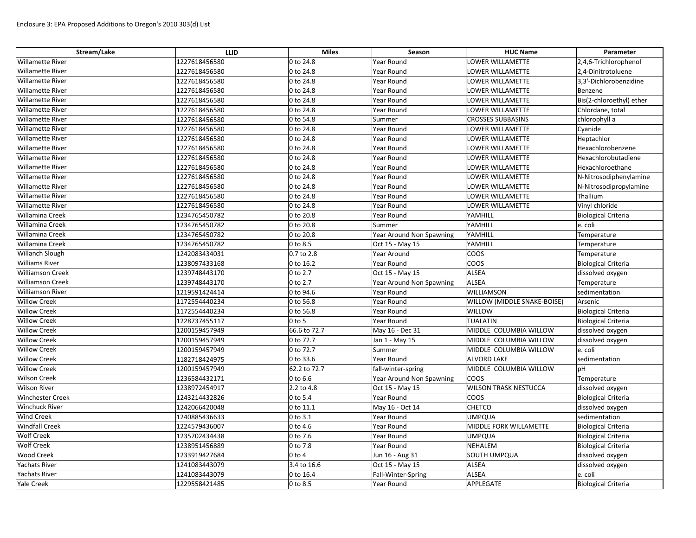| Stream/Lake             | <b>LLID</b>   | <b>Miles</b> | Season                   | <b>HUC Name</b>              | Parameter                  |
|-------------------------|---------------|--------------|--------------------------|------------------------------|----------------------------|
| <b>Willamette River</b> | 1227618456580 | 0 to 24.8    | Year Round               | LOWER WILLAMETTE             | 2,4,6-Trichlorophenol      |
| <b>Willamette River</b> | 1227618456580 | 0 to 24.8    | Year Round               | LOWER WILLAMETTE             | 2,4-Dinitrotoluene         |
| <b>Willamette River</b> | 1227618456580 | 0 to 24.8    | Year Round               | LOWER WILLAMETTE             | 3,3'-Dichlorobenzidine     |
| <b>Willamette River</b> | 1227618456580 | 0 to 24.8    | Year Round               | LOWER WILLAMETTE             | Benzene                    |
| <b>Willamette River</b> | 1227618456580 | 0 to 24.8    | <b>Year Round</b>        | LOWER WILLAMETTE             | Bis(2-chloroethyl) ether   |
| <b>Willamette River</b> | 1227618456580 | 0 to 24.8    | Year Round               | LOWER WILLAMETTE             | Chlordane, total           |
| <b>Willamette River</b> | 1227618456580 | 0 to 54.8    | Summer                   | <b>CROSSES SUBBASINS</b>     | chlorophyll a              |
| <b>Willamette River</b> | 1227618456580 | 0 to 24.8    | Year Round               | LOWER WILLAMETTE             | Cyanide                    |
| <b>Willamette River</b> | 1227618456580 | 0 to 24.8    | Year Round               | LOWER WILLAMETTE             | Heptachlor                 |
| <b>Willamette River</b> | 1227618456580 | 0 to 24.8    | <b>Year Round</b>        | LOWER WILLAMETTE             | Hexachlorobenzene          |
| <b>Willamette River</b> | 1227618456580 | 0 to 24.8    | Year Round               | LOWER WILLAMETTE             | Hexachlorobutadiene        |
| <b>Willamette River</b> | 1227618456580 | 0 to 24.8    | Year Round               | LOWER WILLAMETTE             | Hexachloroethane           |
| <b>Willamette River</b> | 1227618456580 | 0 to 24.8    | Year Round               | LOWER WILLAMETTE             | N-Nitrosodiphenylamine     |
| <b>Willamette River</b> | 1227618456580 | 0 to 24.8    | Year Round               | LOWER WILLAMETTE             | N-Nitrosodipropylamine     |
| <b>Willamette River</b> | 1227618456580 | 0 to 24.8    | Year Round               | LOWER WILLAMETTE             | Thallium                   |
| <b>Willamette River</b> | 1227618456580 | 0 to 24.8    | Year Round               | LOWER WILLAMETTE             | Vinyl chloride             |
| <b>Willamina Creek</b>  | 1234765450782 | 0 to 20.8    | Year Round               | YAMHILL                      | <b>Biological Criteria</b> |
| <b>Willamina Creek</b>  | 1234765450782 | 0 to 20.8    | Summer                   | YAMHILL                      | e. coli                    |
| Willamina Creek         | 1234765450782 | 0 to 20.8    | Year Around Non Spawning | YAMHILL                      | Temperature                |
| <b>Willamina Creek</b>  | 1234765450782 | 0 to 8.5     | Oct 15 - May 15          | YAMHILL                      | Temperature                |
| <b>Willanch Slough</b>  | 1242083434031 | 0.7 to 2.8   | Year Around              | coos                         | Temperature                |
| <b>Williams River</b>   | 1238097433168 | 0 to 16.2    | Year Round               | coos                         | <b>Biological Criteria</b> |
| <b>Williamson Creek</b> | 1239748443170 | 0 to 2.7     | Oct 15 - May 15          | ALSEA                        | dissolved oxygen           |
| <b>Williamson Creek</b> | 1239748443170 | 0 to 2.7     | Year Around Non Spawning | ALSEA                        | Temperature                |
| <b>Williamson River</b> | 1219591424414 | 0 to 94.6    | <b>Year Round</b>        | WILLIAMSON                   | sedimentation              |
| <b>Willow Creek</b>     | 1172554440234 | 0 to 56.8    | Year Round               | WILLOW (MIDDLE SNAKE-BOISE)  | Arsenic                    |
| <b>Willow Creek</b>     | 1172554440234 | 0 to 56.8    | Year Round               | WILLOW                       | <b>Biological Criteria</b> |
| <b>Willow Creek</b>     | 1228737455117 | $0$ to 5     | Year Round               | TUALATIN                     | <b>Biological Criteria</b> |
| <b>Willow Creek</b>     | 1200159457949 | 66.6 to 72.7 | May 16 - Dec 31          | MIDDLE COLUMBIA WILLOW       | dissolved oxygen           |
| <b>Willow Creek</b>     | 1200159457949 | 0 to 72.7    | Jan 1 - May 15           | MIDDLE COLUMBIA WILLOW       | dissolved oxygen           |
| <b>Willow Creek</b>     | 1200159457949 | 0 to 72.7    | Summer                   | MIDDLE COLUMBIA WILLOW       | e. coli                    |
| <b>Willow Creek</b>     | 1182718424975 | 0 to 33.6    | Year Round               | ALVORD LAKE                  | sedimentation              |
| <b>Willow Creek</b>     | 1200159457949 | 62.2 to 72.7 | fall-winter-spring       | MIDDLE COLUMBIA WILLOW       | pH                         |
| <b>Wilson Creek</b>     | 1236584432171 | 0 to 6.6     | Year Around Non Spawning | <b>COOS</b>                  | Temperature                |
| <b>Wilson River</b>     | 1238972454917 | 2.2 to 4.8   | Oct 15 - May 15          | <b>WILSON TRASK NESTUCCA</b> | dissolved oxygen           |
| <b>Winchester Creek</b> | 1243214432826 | 0 to 5.4     | Year Round               | coos                         | <b>Biological Criteria</b> |
| <b>Winchuck River</b>   | 1242066420048 | 0 to 11.1    | May 16 - Oct 14          | <b>CHETCO</b>                | dissolved oxygen           |
| <b>Wind Creek</b>       | 1240885436633 | 0 to 3.1     | Year Round               | UMPQUA                       | sedimentation              |
| <b>Windfall Creek</b>   | 1224579436007 | 0 to 4.6     | Year Round               | MIDDLE FORK WILLAMETTE       | <b>Biological Criteria</b> |
| <b>Wolf Creek</b>       | 1235702434438 | 0 to 7.6     | Year Round               | <b>UMPQUA</b>                | <b>Biological Criteria</b> |
| <b>Wolf Creek</b>       | 1238951456889 | 0 to 7.8     | Year Round               | NEHALEM                      | Biological Criteria        |
| <b>Wood Creek</b>       | 1233919427684 | $0$ to $4$   | Jun 16 - Aug 31          | SOUTH UMPQUA                 | dissolved oxygen           |
| <b>Yachats River</b>    | 1241083443079 | 3.4 to 16.6  | Oct 15 - May 15          | <b>ALSEA</b>                 | dissolved oxygen           |
| Yachats River           | 1241083443079 | 0 to 16.4    | Fall-Winter-Spring       | <b>ALSEA</b>                 | e. coli                    |
| <b>Yale Creek</b>       | 1229558421485 | 0 to 8.5     | Year Round               | APPLEGATE                    | Biological Criteria        |